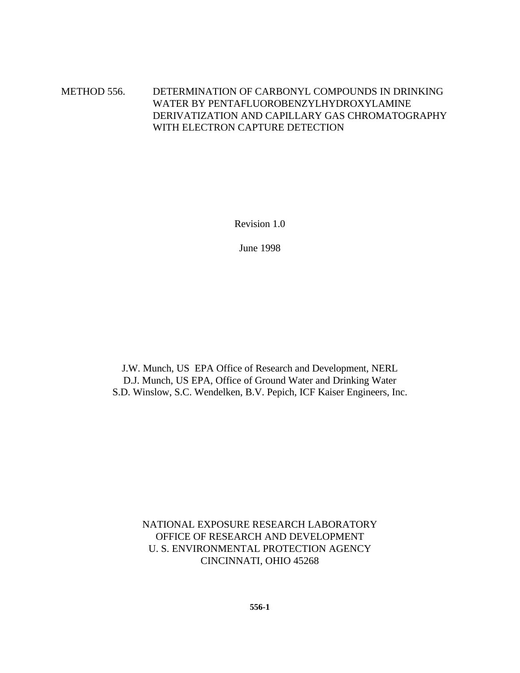#### METHOD 556. DETERMINATION OF CARBONYL COMPOUNDS IN DRINKING WATER BY PENTAFLUOROBENZYLHYDROXYLAMINE DERIVATIZATION AND CAPILLARY GAS CHROMATOGRAPHY WITH ELECTRON CAPTURE DETECTION

Revision 1.0

June 1998

J.W. Munch, US EPA Office of Research and Development, NERL D.J. Munch, US EPA, Office of Ground Water and Drinking Water S.D. Winslow, S.C. Wendelken, B.V. Pepich, ICF Kaiser Engineers, Inc.

> NATIONAL EXPOSURE RESEARCH LABORATORY OFFICE OF RESEARCH AND DEVELOPMENT U. S. ENVIRONMENTAL PROTECTION AGENCY CINCINNATI, OHIO 45268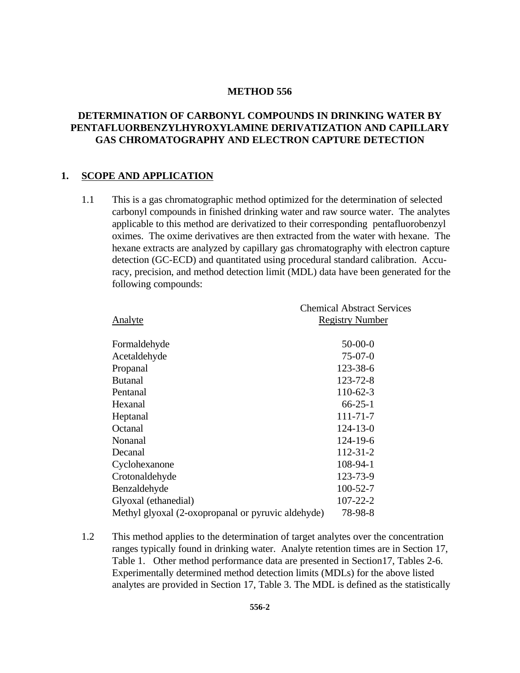#### **METHOD 556**

#### **DETERMINATION OF CARBONYL COMPOUNDS IN DRINKING WATER BY PENTAFLUORBENZYLHYROXYLAMINE DERIVATIZATION AND CAPILLARY GAS CHROMATOGRAPHY AND ELECTRON CAPTURE DETECTION**

#### **1. SCOPE AND APPLICATION**

1.1 This is a gas chromatographic method optimized for the determination of selected carbonyl compounds in finished drinking water and raw source water. The analytes applicable to this method are derivatized to their corresponding pentafluorobenzyl oximes. The oxime derivatives are then extracted from the water with hexane. The hexane extracts are analyzed by capillary gas chromatography with electron capture detection (GC-ECD) and quantitated using procedural standard calibration. Accuracy, precision, and method detection limit (MDL) data have been generated for the following compounds:

| Analyte                                            | <b>Chemical Abstract Services</b><br><b>Registry Number</b> |
|----------------------------------------------------|-------------------------------------------------------------|
| Formaldehyde                                       | $50-00-0$                                                   |
| Acetaldehyde                                       | $75-07-0$                                                   |
| Propanal                                           | 123-38-6                                                    |
| <b>Butanal</b>                                     | $123 - 72 - 8$                                              |
| Pentanal                                           | $110 - 62 - 3$                                              |
| Hexanal                                            | $66 - 25 - 1$                                               |
| Heptanal                                           | $111 - 71 - 7$                                              |
| Octanal                                            | $124 - 13 - 0$                                              |
| Nonanal                                            | $124 - 19 - 6$                                              |
| Decanal                                            | $112 - 31 - 2$                                              |
| Cyclohexanone                                      | 108-94-1                                                    |
| Crotonaldehyde                                     | 123-73-9                                                    |
| Benzaldehyde                                       | $100 - 52 - 7$                                              |
| Glyoxal (ethanedial)                               | $107 - 22 - 2$                                              |
| Methyl glyoxal (2-oxopropanal or pyruvic aldehyde) | 78-98-8                                                     |
|                                                    |                                                             |

1.2 This method applies to the determination of target analytes over the concentration ranges typically found in drinking water. Analyte retention times are in Section 17, Table 1. Other method performance data are presented in Section17, Tables 2-6. Experimentally determined method detection limits (MDLs) for the above listed analytes are provided in Section 17, Table 3. The MDL is defined as the statistically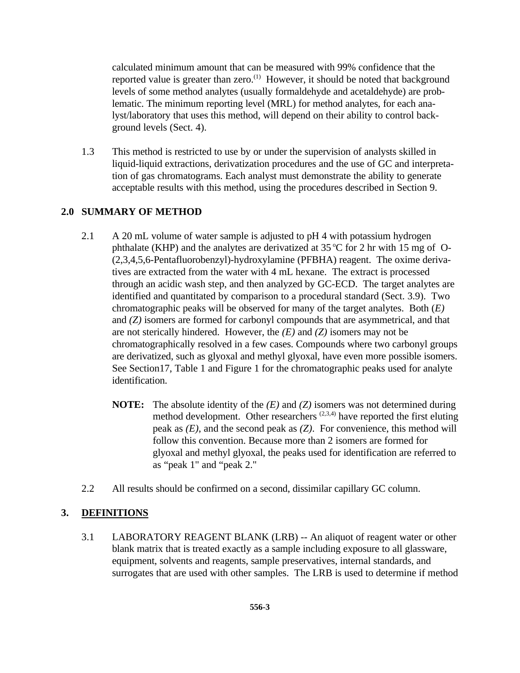calculated minimum amount that can be measured with 99% confidence that the reported value is greater than zero.<sup> $(1)$ </sup> However, it should be noted that background levels of some method analytes (usually formaldehyde and acetaldehyde) are problematic. The minimum reporting level (MRL) for method analytes, for each analyst/laboratory that uses this method, will depend on their ability to control background levels (Sect. 4).

1.3 This method is restricted to use by or under the supervision of analysts skilled in liquid-liquid extractions, derivatization procedures and the use of GC and interpretation of gas chromatograms. Each analyst must demonstrate the ability to generate acceptable results with this method, using the procedures described in Section 9.

## **2.0 SUMMARY OF METHOD**

- 2.1 A 20 mL volume of water sample is adjusted to pH 4 with potassium hydrogen phthalate (KHP) and the analytes are derivatized at  $35^{\circ}$ C for 2 hr with 15 mg of O-(2,3,4,5,6-Pentafluorobenzyl)-hydroxylamine (PFBHA) reagent. The oxime derivatives are extracted from the water with 4 mL hexane. The extract is processed through an acidic wash step, and then analyzed by GC-ECD. The target analytes are identified and quantitated by comparison to a procedural standard (Sect. 3.9). Two chromatographic peaks will be observed for many of the target analytes. Both (*E)* and *(Z)* isomers are formed for carbonyl compounds that are asymmetrical, and that are not sterically hindered. However, the *(E)* and *(Z)* isomers may not be chromatographically resolved in a few cases. Compounds where two carbonyl groups are derivatized, such as glyoxal and methyl glyoxal, have even more possible isomers. See Section17, Table 1 and Figure 1 for the chromatographic peaks used for analyte identification.
	- **NOTE:** The absolute identity of the *(E)* and *(Z)* isomers was not determined during method development. Other researchers  $(2,3,4)$  have reported the first eluting peak as *(E)*, and the second peak as *(Z)*. For convenience, this method will follow this convention. Because more than 2 isomers are formed for glyoxal and methyl glyoxal, the peaks used for identification are referred to as "peak 1" and "peak 2."
- 2.2 All results should be confirmed on a second, dissimilar capillary GC column.

#### **3. DEFINITIONS**

3.1 LABORATORY REAGENT BLANK (LRB) -- An aliquot of reagent water or other blank matrix that is treated exactly as a sample including exposure to all glassware, equipment, solvents and reagents, sample preservatives, internal standards, and surrogates that are used with other samples. The LRB is used to determine if method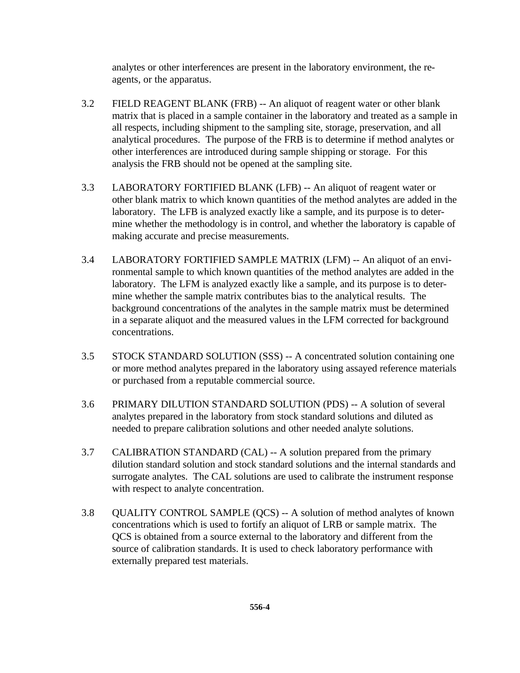analytes or other interferences are present in the laboratory environment, the reagents, or the apparatus.

- 3.2 FIELD REAGENT BLANK (FRB) -- An aliquot of reagent water or other blank matrix that is placed in a sample container in the laboratory and treated as a sample in all respects, including shipment to the sampling site, storage, preservation, and all analytical procedures. The purpose of the FRB is to determine if method analytes or other interferences are introduced during sample shipping or storage. For this analysis the FRB should not be opened at the sampling site.
- 3.3 LABORATORY FORTIFIED BLANK (LFB) -- An aliquot of reagent water or other blank matrix to which known quantities of the method analytes are added in the laboratory. The LFB is analyzed exactly like a sample, and its purpose is to determine whether the methodology is in control, and whether the laboratory is capable of making accurate and precise measurements.
- 3.4 LABORATORY FORTIFIED SAMPLE MATRIX (LFM) -- An aliquot of an environmental sample to which known quantities of the method analytes are added in the laboratory. The LFM is analyzed exactly like a sample, and its purpose is to determine whether the sample matrix contributes bias to the analytical results. The background concentrations of the analytes in the sample matrix must be determined in a separate aliquot and the measured values in the LFM corrected for background concentrations.
- 3.5 STOCK STANDARD SOLUTION (SSS) -- A concentrated solution containing one or more method analytes prepared in the laboratory using assayed reference materials or purchased from a reputable commercial source.
- 3.6 PRIMARY DILUTION STANDARD SOLUTION (PDS) -- A solution of several analytes prepared in the laboratory from stock standard solutions and diluted as needed to prepare calibration solutions and other needed analyte solutions.
- 3.7 CALIBRATION STANDARD (CAL) -- A solution prepared from the primary dilution standard solution and stock standard solutions and the internal standards and surrogate analytes. The CAL solutions are used to calibrate the instrument response with respect to analyte concentration.
- 3.8 QUALITY CONTROL SAMPLE (QCS) -- A solution of method analytes of known concentrations which is used to fortify an aliquot of LRB or sample matrix. The QCS is obtained from a source external to the laboratory and different from the source of calibration standards. It is used to check laboratory performance with externally prepared test materials.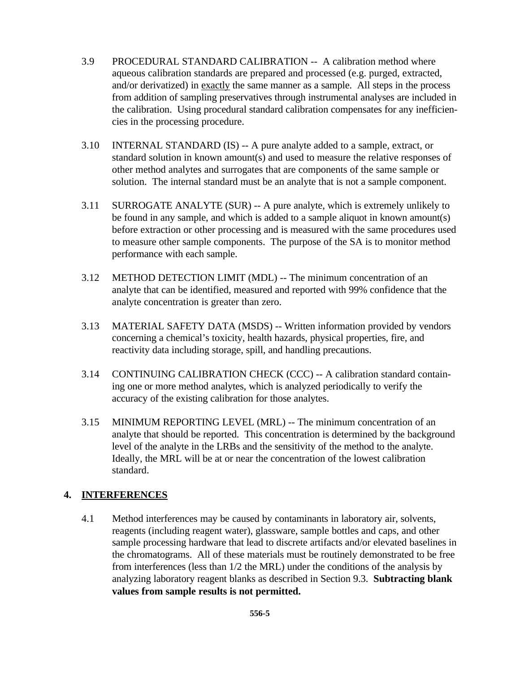- 3.9 PROCEDURAL STANDARD CALIBRATION -- A calibration method where aqueous calibration standards are prepared and processed (e.g. purged, extracted, and/or derivatized) in exactly the same manner as a sample. All steps in the process from addition of sampling preservatives through instrumental analyses are included in the calibration. Using procedural standard calibration compensates for any inefficiencies in the processing procedure.
- 3.10 INTERNAL STANDARD (IS) -- A pure analyte added to a sample, extract, or standard solution in known amount(s) and used to measure the relative responses of other method analytes and surrogates that are components of the same sample or solution. The internal standard must be an analyte that is not a sample component.
- 3.11 SURROGATE ANALYTE (SUR) -- A pure analyte, which is extremely unlikely to be found in any sample, and which is added to a sample aliquot in known amount(s) before extraction or other processing and is measured with the same procedures used to measure other sample components. The purpose of the SA is to monitor method performance with each sample.
- 3.12 METHOD DETECTION LIMIT (MDL) -- The minimum concentration of an analyte that can be identified, measured and reported with 99% confidence that the analyte concentration is greater than zero.
- 3.13 MATERIAL SAFETY DATA (MSDS) -- Written information provided by vendors concerning a chemical's toxicity, health hazards, physical properties, fire, and reactivity data including storage, spill, and handling precautions.
- 3.14 CONTINUING CALIBRATION CHECK (CCC) -- A calibration standard containing one or more method analytes, which is analyzed periodically to verify the accuracy of the existing calibration for those analytes.
- 3.15 MINIMUM REPORTING LEVEL (MRL) -- The minimum concentration of an analyte that should be reported. This concentration is determined by the background level of the analyte in the LRBs and the sensitivity of the method to the analyte. Ideally, the MRL will be at or near the concentration of the lowest calibration standard.

#### **4. INTERFERENCES**

4.1 Method interferences may be caused by contaminants in laboratory air, solvents, reagents (including reagent water), glassware, sample bottles and caps, and other sample processing hardware that lead to discrete artifacts and/or elevated baselines in the chromatograms. All of these materials must be routinely demonstrated to be free from interferences (less than 1/2 the MRL) under the conditions of the analysis by analyzing laboratory reagent blanks as described in Section 9.3. **Subtracting blank values from sample results is not permitted.**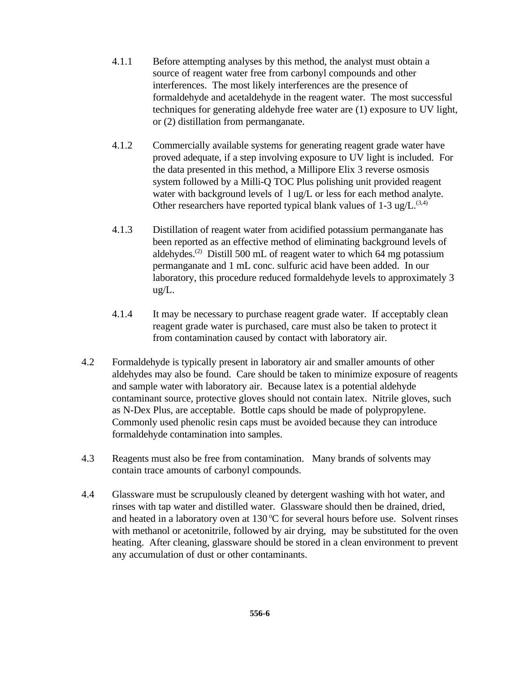- 4.1.1 Before attempting analyses by this method, the analyst must obtain a source of reagent water free from carbonyl compounds and other interferences. The most likely interferences are the presence of formaldehyde and acetaldehyde in the reagent water. The most successful techniques for generating aldehyde free water are (1) exposure to UV light, or (2) distillation from permanganate.
- 4.1.2 Commercially available systems for generating reagent grade water have proved adequate, if a step involving exposure to UV light is included. For the data presented in this method, a Millipore Elix 3 reverse osmosis system followed by a Milli-Q TOC Plus polishing unit provided reagent water with background levels of  $\log L$  or less for each method analyte. Other researchers have reported typical blank values of  $1-3$  ug/L.<sup>(3,4)</sup>
- 4.1.3 Distillation of reagent water from acidified potassium permanganate has been reported as an effective method of eliminating background levels of aldehydes.<sup>(2)</sup> Distill 500 mL of reagent water to which 64 mg potassium permanganate and 1 mL conc. sulfuric acid have been added. In our laboratory, this procedure reduced formaldehyde levels to approximately 3 ug/L.
- 4.1.4 It may be necessary to purchase reagent grade water. If acceptably clean reagent grade water is purchased, care must also be taken to protect it from contamination caused by contact with laboratory air.
- 4.2 Formaldehyde is typically present in laboratory air and smaller amounts of other aldehydes may also be found. Care should be taken to minimize exposure of reagents and sample water with laboratory air. Because latex is a potential aldehyde contaminant source, protective gloves should not contain latex. Nitrile gloves, such as N-Dex Plus, are acceptable. Bottle caps should be made of polypropylene. Commonly used phenolic resin caps must be avoided because they can introduce formaldehyde contamination into samples.
- 4.3 Reagents must also be free from contamination. Many brands of solvents may contain trace amounts of carbonyl compounds.
- 4.4 Glassware must be scrupulously cleaned by detergent washing with hot water, and rinses with tap water and distilled water. Glassware should then be drained, dried, and heated in a laboratory oven at  $130^{\circ}$ C for several hours before use. Solvent rinses with methanol or acetonitrile, followed by air drying, may be substituted for the oven heating. After cleaning, glassware should be stored in a clean environment to prevent any accumulation of dust or other contaminants.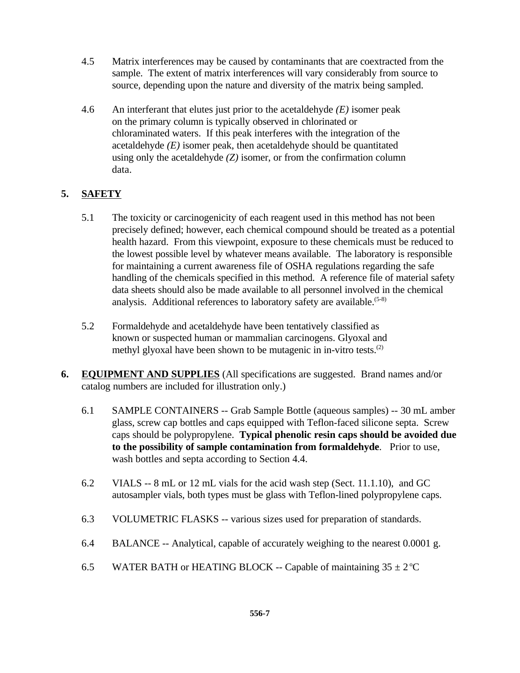- 4.5 Matrix interferences may be caused by contaminants that are coextracted from the sample. The extent of matrix interferences will vary considerably from source to source, depending upon the nature and diversity of the matrix being sampled.
- 4.6 An interferant that elutes just prior to the acetaldehyde *(E)* isomer peak on the primary column is typically observed in chlorinated or chloraminated waters. If this peak interferes with the integration of the acetaldehyde  $(E)$  isomer peak, then acetaldehyde should be quantitated using only the acetaldehyde *(Z)* isomer, or from the confirmation column data.

# **5. SAFETY**

- 5.1 The toxicity or carcinogenicity of each reagent used in this method has not been precisely defined; however, each chemical compound should be treated as a potential health hazard. From this viewpoint, exposure to these chemicals must be reduced to the lowest possible level by whatever means available. The laboratory is responsible for maintaining a current awareness file of OSHA regulations regarding the safe handling of the chemicals specified in this method. A reference file of material safety data sheets should also be made available to all personnel involved in the chemical analysis. Additional references to laboratory safety are available.<sup> $(5-8)$ </sup>
- 5.2 Formaldehyde and acetaldehyde have been tentatively classified as known or suspected human or mammalian carcinogens. Glyoxal and methyl glyoxal have been shown to be mutagenic in in-vitro tests.<sup>(2)</sup>
- **6. EQUIPMENT AND SUPPLIES** (All specifications are suggested. Brand names and/or catalog numbers are included for illustration only.)
	- 6.1 SAMPLE CONTAINERS -- Grab Sample Bottle (aqueous samples) -- 30 mL amber glass, screw cap bottles and caps equipped with Teflon-faced silicone septa. Screw caps should be polypropylene. **Typical phenolic resin caps should be avoided due to the possibility of sample contamination from formaldehyde**. Prior to use, wash bottles and septa according to Section 4.4.
	- 6.2 VIALS -- 8 mL or 12 mL vials for the acid wash step (Sect. 11.1.10), and GC autosampler vials, both types must be glass with Teflon-lined polypropylene caps.
	- 6.3 VOLUMETRIC FLASKS -- various sizes used for preparation of standards.
	- 6.4 BALANCE -- Analytical, capable of accurately weighing to the nearest 0.0001 g.
	- 6.5 WATER BATH or HEATING BLOCK -- Capable of maintaining  $35 \pm 2^{\circ}$ C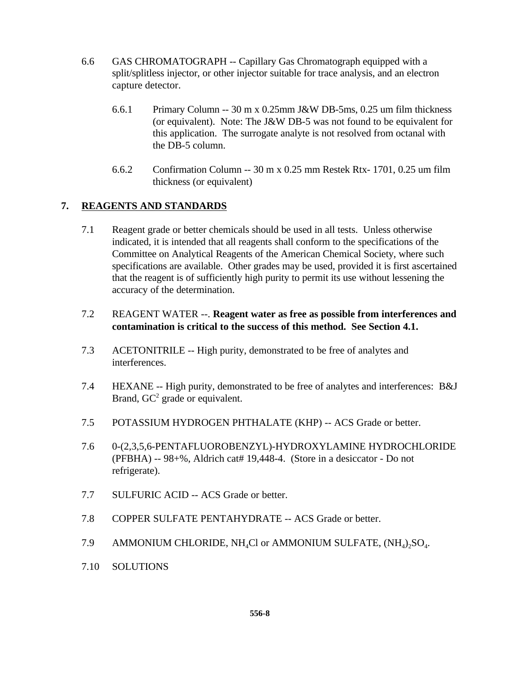- 6.6 GAS CHROMATOGRAPH -- Capillary Gas Chromatograph equipped with a split/splitless injector, or other injector suitable for trace analysis, and an electron capture detector.
	- 6.6.1 Primary Column -- 30 m x 0.25mm J&W DB-5ms, 0.25 um film thickness (or equivalent). Note: The J&W DB-5 was not found to be equivalent for this application. The surrogate analyte is not resolved from octanal with the DB-5 column.
	- 6.6.2 Confirmation Column -- 30 m x 0.25 mm Restek Rtx- 1701, 0.25 um film thickness (or equivalent)

## **7. REAGENTS AND STANDARDS**

- 7.1 Reagent grade or better chemicals should be used in all tests. Unless otherwise indicated, it is intended that all reagents shall conform to the specifications of the Committee on Analytical Reagents of the American Chemical Society, where such specifications are available. Other grades may be used, provided it is first ascertained that the reagent is of sufficiently high purity to permit its use without lessening the accuracy of the determination.
- 7.2 REAGENT WATER --. **Reagent water as free as possible from interferences and contamination is critical to the success of this method. See Section 4.1.**
- 7.3 ACETONITRILE -- High purity, demonstrated to be free of analytes and interferences.
- 7.4 HEXANE -- High purity, demonstrated to be free of analytes and interferences: B&J Brand,  $GC^2$  grade or equivalent.
- 7.5 POTASSIUM HYDROGEN PHTHALATE (KHP) -- ACS Grade or better.
- 7.6 0-(2,3,5,6-PENTAFLUOROBENZYL)-HYDROXYLAMINE HYDROCHLORIDE (PFBHA) -- 98+%, Aldrich cat# 19,448-4. (Store in a desiccator - Do not refrigerate).
- 7.7 SULFURIC ACID -- ACS Grade or better.
- 7.8 COPPER SULFATE PENTAHYDRATE -- ACS Grade or better.
- 7.9 AMMONIUM CHLORIDE, NH<sub>4</sub>Cl or AMMONIUM SULFATE,  $\text{(NH}_4)_2\text{SO}_4$ .
- 7.10 SOLUTIONS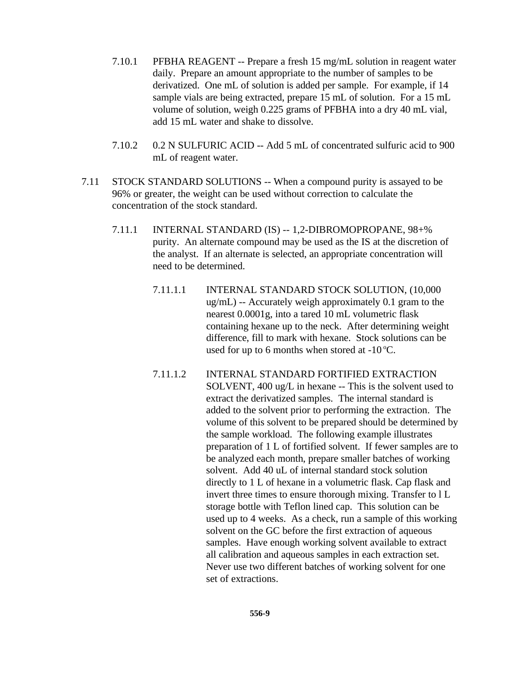- 7.10.1 PFBHA REAGENT -- Prepare a fresh 15 mg/mL solution in reagent water daily. Prepare an amount appropriate to the number of samples to be derivatized. One mL of solution is added per sample. For example, if 14 sample vials are being extracted, prepare 15 mL of solution. For a 15 mL volume of solution, weigh 0.225 grams of PFBHA into a dry 40 mL vial, add 15 mL water and shake to dissolve.
- 7.10.2 0.2 N SULFURIC ACID -- Add 5 mL of concentrated sulfuric acid to 900 mL of reagent water.
- 7.11 STOCK STANDARD SOLUTIONS -- When a compound purity is assayed to be 96% or greater, the weight can be used without correction to calculate the concentration of the stock standard.
	- 7.11.1 INTERNAL STANDARD (IS) -- 1,2-DIBROMOPROPANE, 98+% purity. An alternate compound may be used as the IS at the discretion of the analyst. If an alternate is selected, an appropriate concentration will need to be determined.
		- 7.11.1.1 INTERNAL STANDARD STOCK SOLUTION, (10,000 ug/mL) -- Accurately weigh approximately 0.1 gram to the nearest 0.0001g, into a tared 10 mL volumetric flask containing hexane up to the neck. After determining weight difference, fill to mark with hexane. Stock solutions can be used for up to 6 months when stored at  $-10^{\circ}$ C.
		- 7.11.1.2 INTERNAL STANDARD FORTIFIED EXTRACTION SOLVENT, 400 ug/L in hexane -- This is the solvent used to extract the derivatized samples. The internal standard is added to the solvent prior to performing the extraction. The volume of this solvent to be prepared should be determined by the sample workload. The following example illustrates preparation of 1 L of fortified solvent. If fewer samples are to be analyzed each month, prepare smaller batches of working solvent. Add 40 uL of internal standard stock solution directly to 1 L of hexane in a volumetric flask. Cap flask and invert three times to ensure thorough mixing. Transfer to l L storage bottle with Teflon lined cap. This solution can be used up to 4 weeks. As a check, run a sample of this working solvent on the GC before the first extraction of aqueous samples. Have enough working solvent available to extract all calibration and aqueous samples in each extraction set. Never use two different batches of working solvent for one set of extractions.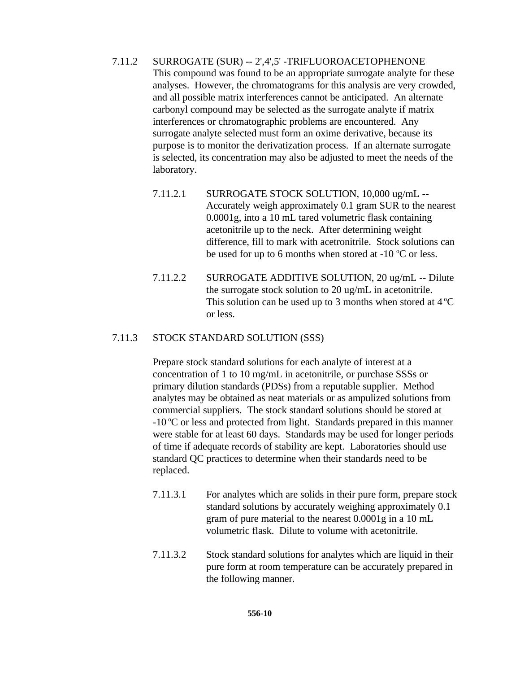7.11.2 SURROGATE (SUR) -- 2',4',5' -TRIFLUOROACETOPHENONE This compound was found to be an appropriate surrogate analyte for these analyses. However, the chromatograms for this analysis are very crowded, and all possible matrix interferences cannot be anticipated. An alternate carbonyl compound may be selected as the surrogate analyte if matrix interferences or chromatographic problems are encountered. Any surrogate analyte selected must form an oxime derivative, because its purpose is to monitor the derivatization process. If an alternate surrogate is selected, its concentration may also be adjusted to meet the needs of the laboratory.

- 7.11.2.1 SURROGATE STOCK SOLUTION, 10,000 ug/mL -- Accurately weigh approximately 0.1 gram SUR to the nearest 0.0001g, into a 10 mL tared volumetric flask containing acetonitrile up to the neck. After determining weight difference, fill to mark with acetronitrile. Stock solutions can be used for up to 6 months when stored at  $-10$  °C or less.
- 7.11.2.2 SURROGATE ADDITIVE SOLUTION, 20 ug/mL -- Dilute the surrogate stock solution to 20 ug/mL in acetonitrile. This solution can be used up to 3 months when stored at  $4^{\circ}C$ or less.

#### 7.11.3 STOCK STANDARD SOLUTION (SSS)

Prepare stock standard solutions for each analyte of interest at a concentration of 1 to 10 mg/mL in acetonitrile, or purchase SSSs or primary dilution standards (PDSs) from a reputable supplier. Method analytes may be obtained as neat materials or as ampulized solutions from commercial suppliers. The stock standard solutions should be stored at  $-10^{\circ}$ C or less and protected from light. Standards prepared in this manner were stable for at least 60 days. Standards may be used for longer periods of time if adequate records of stability are kept. Laboratories should use standard QC practices to determine when their standards need to be replaced.

- 7.11.3.1 For analytes which are solids in their pure form, prepare stock standard solutions by accurately weighing approximately 0.1 gram of pure material to the nearest 0.0001g in a 10 mL volumetric flask. Dilute to volume with acetonitrile.
- 7.11.3.2 Stock standard solutions for analytes which are liquid in their pure form at room temperature can be accurately prepared in the following manner.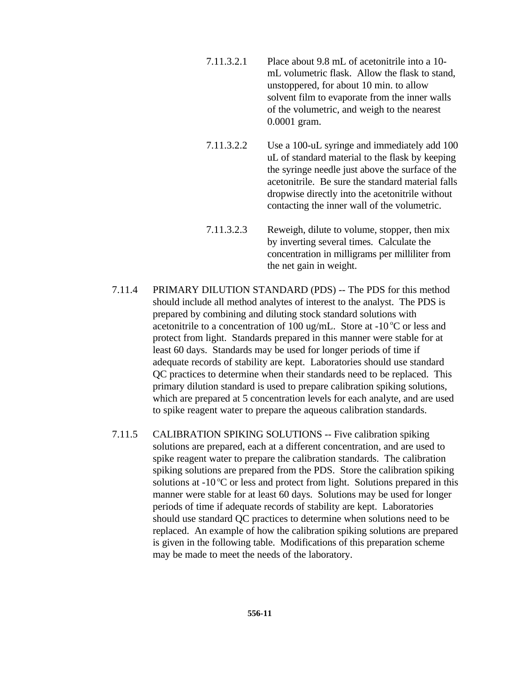- 7.11.3.2.1 Place about 9.8 mL of acetonitrile into a 10 mL volumetric flask. Allow the flask to stand, unstoppered, for about 10 min. to allow solvent film to evaporate from the inner walls of the volumetric, and weigh to the nearest 0.0001 gram.
- 7.11.3.2.2 Use a 100-uL syringe and immediately add 100 uL of standard material to the flask by keeping the syringe needle just above the surface of the acetonitrile. Be sure the standard material falls dropwise directly into the acetonitrile without contacting the inner wall of the volumetric.
- 7.11.3.2.3 Reweigh, dilute to volume, stopper, then mix by inverting several times. Calculate the concentration in milligrams per milliliter from the net gain in weight.
- 7.11.4 PRIMARY DILUTION STANDARD (PDS) -- The PDS for this method should include all method analytes of interest to the analyst. The PDS is prepared by combining and diluting stock standard solutions with acetonitrile to a concentration of 100 ug/mL. Store at  $-10^{\circ}$ C or less and protect from light. Standards prepared in this manner were stable for at least 60 days. Standards may be used for longer periods of time if adequate records of stability are kept. Laboratories should use standard QC practices to determine when their standards need to be replaced. This primary dilution standard is used to prepare calibration spiking solutions, which are prepared at 5 concentration levels for each analyte, and are used to spike reagent water to prepare the aqueous calibration standards.
- 7.11.5 CALIBRATION SPIKING SOLUTIONS -- Five calibration spiking solutions are prepared, each at a different concentration, and are used to spike reagent water to prepare the calibration standards. The calibration spiking solutions are prepared from the PDS. Store the calibration spiking solutions at  $-10\degree$ C or less and protect from light. Solutions prepared in this manner were stable for at least 60 days. Solutions may be used for longer periods of time if adequate records of stability are kept. Laboratories should use standard QC practices to determine when solutions need to be replaced. An example of how the calibration spiking solutions are prepared is given in the following table. Modifications of this preparation scheme may be made to meet the needs of the laboratory.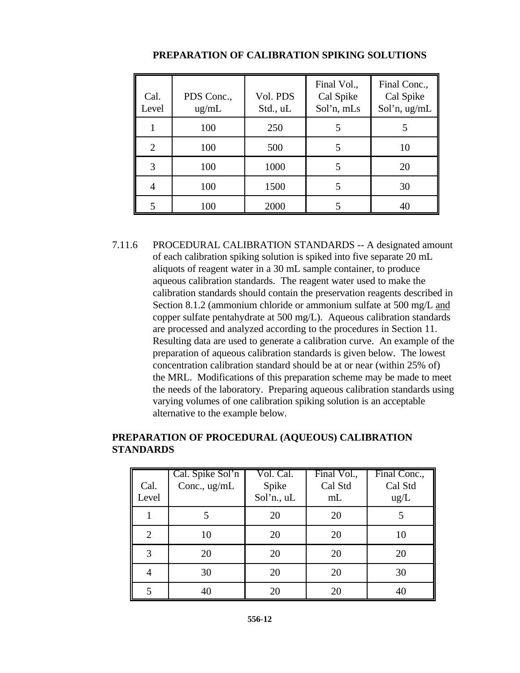| Cal.<br>Level  | PDS Conc.,<br>ug/mL | Vol. PDS<br>Std., uL | Final Vol.,<br>Cal Spike<br>Sol'n, mLs | Final Conc.,<br>Cal Spike<br>Sol'n, ug/mL |
|----------------|---------------------|----------------------|----------------------------------------|-------------------------------------------|
|                | 100                 | 250                  |                                        |                                           |
| $\overline{2}$ | 100                 | 500                  |                                        | 10                                        |
| 3              | 100                 | 1000                 |                                        | 20                                        |
| 4              | 100                 | 1500                 | 5                                      | 30                                        |
| 5              | 100                 | 2000                 |                                        | 40                                        |

#### **PREPARATION OF CALIBRATION SPIKING SOLUTIONS**

7.11.6 PROCEDURAL CALIBRATION STANDARDS -- A designated amount of each calibration spiking solution is spiked into five separate 20 mL aliquots of reagent water in a 30 mL sample container, to produce aqueous calibration standards. The reagent water used to make the calibration standards should contain the preservation reagents described in Section 8.1.2 (ammonium chloride or ammonium sulfate at 500 mg/L and copper sulfate pentahydrate at 500 mg/L). Aqueous calibration standards are processed and analyzed according to the procedures in Section 11. Resulting data are used to generate a calibration curve. An example of the preparation of aqueous calibration standards is given below. The lowest concentration calibration standard should be at or near (within 25% of) the MRL. Modifications of this preparation scheme may be made to meet the needs of the laboratory. Preparing aqueous calibration standards using varying volumes of one calibration spiking solution is an acceptable alternative to the example below.

| Cal.<br>Level  | Cal. Spike Sol'n<br>Conc., ug/mL | Vol. Cal.<br>Spike<br>Sol'n., uL | Final Vol.,<br>Cal Std<br>mL | Final Conc.,<br>Cal Std<br>ug/L |
|----------------|----------------------------------|----------------------------------|------------------------------|---------------------------------|
|                |                                  | 20                               | 20                           |                                 |
| $\overline{2}$ | 10                               | 20                               | 20                           | 10                              |
| 3              | 20                               | 20                               | 20                           | 20                              |
|                | 30                               | 20                               | 20                           | 30                              |
|                | 40                               | 20                               | 20                           | 40                              |

#### **PREPARATION OF PROCEDURAL (AQUEOUS) CALIBRATION STANDARDS**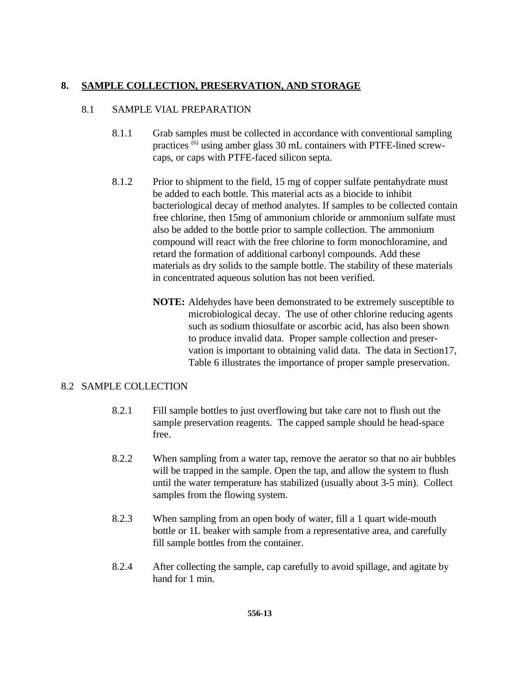#### **8. SAMPLE COLLECTION, PRESERVATION, AND STORAGE**

#### 8.1 SAMPLE VIAL PREPARATION

- 8.1.1 Grab samples must be collected in accordance with conventional sampling practices (6) using amber glass 30 mL containers with PTFE-lined screwcaps, or caps with PTFE-faced silicon septa.
- 8.1.2 Prior to shipment to the field, 15 mg of copper sulfate pentahydrate must be added to each bottle. This material acts as a biocide to inhibit bacteriological decay of method analytes. If samples to be collected contain free chlorine, then 15mg of ammonium chloride or ammonium sulfate must also be added to the bottle prior to sample collection. The ammonium compound will react with the free chlorine to form monochloramine, and retard the formation of additional carbonyl compounds. Add these materials as dry solids to the sample bottle. The stability of these materials in concentrated aqueous solution has not been verified.
	- **NOTE:** Aldehydes have been demonstrated to be extremely susceptible to microbiological decay. The use of other chlorine reducing agents such as sodium thiosulfate or ascorbic acid, has also been shown to produce invalid data. Proper sample collection and preservation is important to obtaining valid data. The data in Section17, Table 6 illustrates the importance of proper sample preservation.

#### 8.2 SAMPLE COLLECTION

- 8.2.1 Fill sample bottles to just overflowing but take care not to flush out the sample preservation reagents. The capped sample should be head-space free.
- 8.2.2 When sampling from a water tap, remove the aerator so that no air bubbles will be trapped in the sample. Open the tap, and allow the system to flush until the water temperature has stabilized (usually about 3-5 min). Collect samples from the flowing system.
- 8.2.3 When sampling from an open body of water, fill a 1 quart wide-mouth bottle or 1L beaker with sample from a representative area, and carefully fill sample bottles from the container.
- 8.2.4 After collecting the sample, cap carefully to avoid spillage, and agitate by hand for 1 min.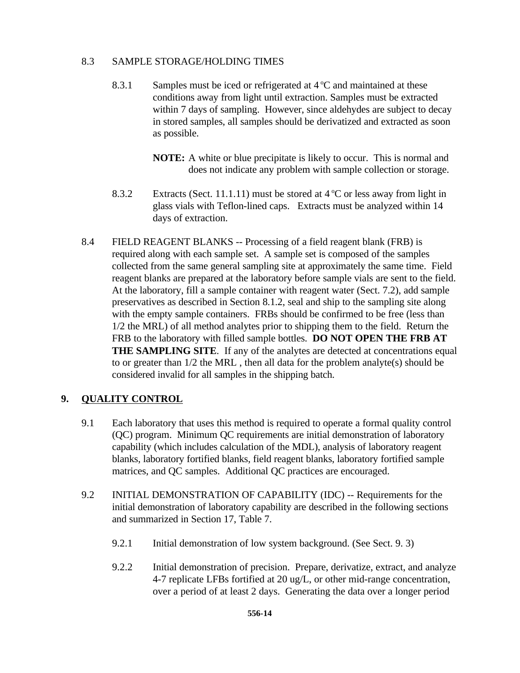#### 8.3 SAMPLE STORAGE/HOLDING TIMES

- 8.3.1 Samples must be iced or refrigerated at  $4^{\circ}$ C and maintained at these conditions away from light until extraction. Samples must be extracted within 7 days of sampling. However, since aldehydes are subject to decay in stored samples, all samples should be derivatized and extracted as soon as possible.
	- **NOTE:** A white or blue precipitate is likely to occur. This is normal and does not indicate any problem with sample collection or storage.
- 8.3.2 Extracts (Sect. 11.1.11) must be stored at  $4^{\circ}$ C or less away from light in glass vials with Teflon-lined caps. Extracts must be analyzed within 14 days of extraction.
- 8.4 FIELD REAGENT BLANKS -- Processing of a field reagent blank (FRB) is required along with each sample set. A sample set is composed of the samples collected from the same general sampling site at approximately the same time. Field reagent blanks are prepared at the laboratory before sample vials are sent to the field. At the laboratory, fill a sample container with reagent water (Sect. 7.2), add sample preservatives as described in Section 8.1.2, seal and ship to the sampling site along with the empty sample containers. FRBs should be confirmed to be free (less than 1/2 the MRL) of all method analytes prior to shipping them to the field. Return the FRB to the laboratory with filled sample bottles. **DO NOT OPEN THE FRB AT THE SAMPLING SITE**. If any of the analytes are detected at concentrations equal to or greater than 1/2 the MRL , then all data for the problem analyte(s) should be considered invalid for all samples in the shipping batch.

# **9. QUALITY CONTROL**

- 9.1 Each laboratory that uses this method is required to operate a formal quality control (QC) program. Minimum QC requirements are initial demonstration of laboratory capability (which includes calculation of the MDL), analysis of laboratory reagent blanks, laboratory fortified blanks, field reagent blanks, laboratory fortified sample matrices, and QC samples. Additional QC practices are encouraged.
- 9.2 INITIAL DEMONSTRATION OF CAPABILITY (IDC) -- Requirements for the initial demonstration of laboratory capability are described in the following sections and summarized in Section 17, Table 7.
	- 9.2.1 Initial demonstration of low system background. (See Sect. 9. 3)
	- 9.2.2 Initial demonstration of precision. Prepare, derivatize, extract, and analyze 4-7 replicate LFBs fortified at 20 ug/L, or other mid-range concentration, over a period of at least 2 days. Generating the data over a longer period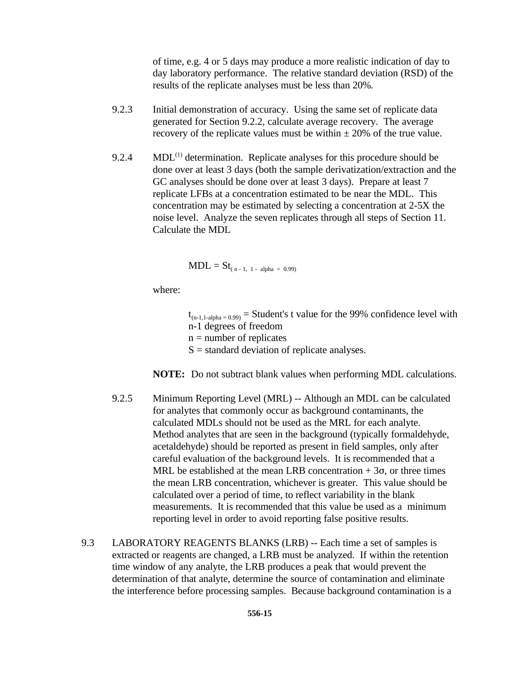of time, e.g. 4 or 5 days may produce a more realistic indication of day to day laboratory performance. The relative standard deviation (RSD) of the results of the replicate analyses must be less than 20%*.*

- 9.2.3 Initial demonstration of accuracy. Using the same set of replicate data generated for Section 9.2.2, calculate average recovery. The average recovery of the replicate values must be within  $\pm 20\%$  of the true value.
- 9.2.4 MDL $^{(1)}$  determination. Replicate analyses for this procedure should be done over at least 3 days (both the sample derivatization/extraction and the GC analyses should be done over at least 3 days). Prepare at least 7 replicate LFBs at a concentration estimated to be near the MDL. This concentration may be estimated by selecting a concentration at 2-5X the noise level. Analyze the seven replicates through all steps of Section 11. Calculate the MDL

 $MDL = St_{(n-1, 1 - alpha = 0.99)}$ 

where:

 $t_{(n-1,1-\alpha)pna = 0.99}$  = Student's t value for the 99% confidence level with n-1 degrees of freedom  $n =$  number of replicates  $S =$  standard deviation of replicate analyses.

**NOTE:** Do not subtract blank values when performing MDL calculations.

- 9.2.5 Minimum Reporting Level (MRL) -- Although an MDL can be calculated for analytes that commonly occur as background contaminants, the calculated MDLs should not be used as the MRL for each analyte. Method analytes that are seen in the background (typically formaldehyde, acetaldehyde) should be reported as present in field samples, only after careful evaluation of the background levels. It is recommended that a MRL be established at the mean LRB concentration  $+3\sigma$ , or three times the mean LRB concentration, whichever is greater. This value should be calculated over a period of time, to reflect variability in the blank measurements. It is recommended that this value be used as a minimum reporting level in order to avoid reporting false positive results.
- 9.3 LABORATORY REAGENTS BLANKS (LRB) -- Each time a set of samples is extracted or reagents are changed, a LRB must be analyzed. If within the retention time window of any analyte, the LRB produces a peak that would prevent the determination of that analyte, determine the source of contamination and eliminate the interference before processing samples. Because background contamination is a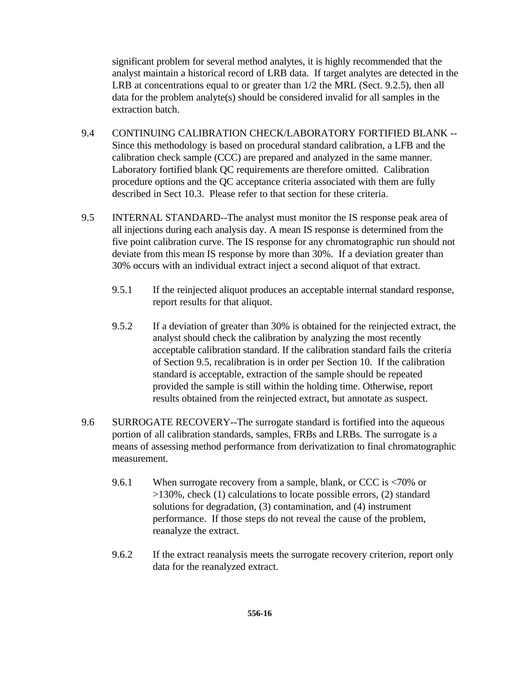significant problem for several method analytes, it is highly recommended that the analyst maintain a historical record of LRB data. If target analytes are detected in the LRB at concentrations equal to or greater than 1/2 the MRL (Sect. 9.2.5), then all data for the problem analyte(s) should be considered invalid for all samples in the extraction batch.

- 9.4 CONTINUING CALIBRATION CHECK/LABORATORY FORTIFIED BLANK -- Since this methodology is based on procedural standard calibration, a LFB and the calibration check sample (CCC) are prepared and analyzed in the same manner. Laboratory fortified blank QC requirements are therefore omitted. Calibration procedure options and the QC acceptance criteria associated with them are fully described in Sect 10.3. Please refer to that section for these criteria.
- 9.5 INTERNAL STANDARD--The analyst must monitor the IS response peak area of all injections during each analysis day. A mean IS response is determined from the five point calibration curve. The IS response for any chromatographic run should not deviate from this mean IS response by more than 30%. If a deviation greater than 30% occurs with an individual extract inject a second aliquot of that extract.
	- 9.5.1 If the reinjected aliquot produces an acceptable internal standard response, report results for that aliquot.
	- 9.5.2 If a deviation of greater than 30% is obtained for the reinjected extract, the analyst should check the calibration by analyzing the most recently acceptable calibration standard. If the calibration standard fails the criteria of Section 9.5, recalibration is in order per Section 10. If the calibration standard is acceptable, extraction of the sample should be repeated provided the sample is still within the holding time. Otherwise, report results obtained from the reinjected extract, but annotate as suspect.
- 9.6 SURROGATE RECOVERY--The surrogate standard is fortified into the aqueous portion of all calibration standards, samples, FRBs and LRBs. The surrogate is a means of assessing method performance from derivatization to final chromatographic measurement.
	- 9.6.1 When surrogate recovery from a sample, blank, or CCC is <70% or >130%, check (1) calculations to locate possible errors, (2) standard solutions for degradation, (3) contamination, and (4) instrument performance. If those steps do not reveal the cause of the problem, reanalyze the extract.
	- 9.6.2 If the extract reanalysis meets the surrogate recovery criterion, report only data for the reanalyzed extract.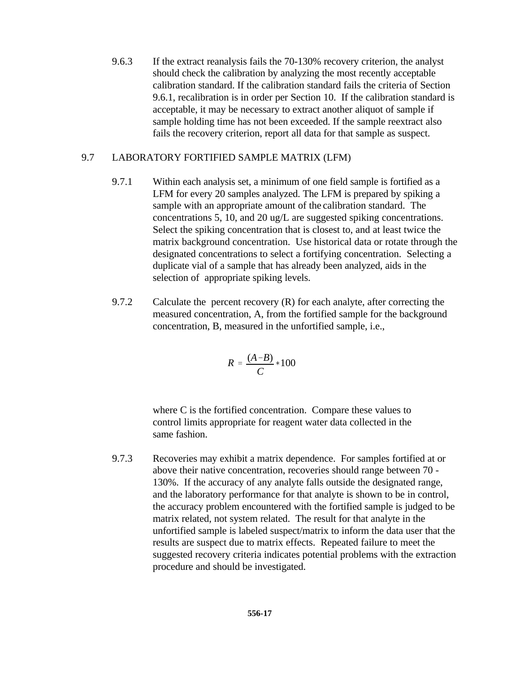9.6.3 If the extract reanalysis fails the 70-130% recovery criterion, the analyst should check the calibration by analyzing the most recently acceptable calibration standard. If the calibration standard fails the criteria of Section 9.6.1, recalibration is in order per Section 10. If the calibration standard is acceptable, it may be necessary to extract another aliquot of sample if sample holding time has not been exceeded. If the sample reextract also fails the recovery criterion, report all data for that sample as suspect.

#### 9.7 LABORATORY FORTIFIED SAMPLE MATRIX (LFM)

- 9.7.1 Within each analysis set, a minimum of one field sample is fortified as a LFM for every 20 samples analyzed. The LFM is prepared by spiking a sample with an appropriate amount of the calibration standard. The concentrations 5, 10, and 20 ug/L are suggested spiking concentrations. Select the spiking concentration that is closest to, and at least twice the matrix background concentration. Use historical data or rotate through the designated concentrations to select a fortifying concentration. Selecting a duplicate vial of a sample that has already been analyzed, aids in the selection of appropriate spiking levels.
- 9.7.2 Calculate the percent recovery  $(R)$  for each analyte, after correcting the measured concentration, A, from the fortified sample for the background concentration, B, measured in the unfortified sample, i.e.,

$$
R=\frac{(A-B)}{C}*100
$$

where C is the fortified concentration. Compare these values to control limits appropriate for reagent water data collected in the same fashion.

9.7.3 Recoveries may exhibit a matrix dependence. For samples fortified at or above their native concentration, recoveries should range between 70 - 130%. If the accuracy of any analyte falls outside the designated range, and the laboratory performance for that analyte is shown to be in control, the accuracy problem encountered with the fortified sample is judged to be matrix related, not system related. The result for that analyte in the unfortified sample is labeled suspect/matrix to inform the data user that the results are suspect due to matrix effects. Repeated failure to meet the suggested recovery criteria indicates potential problems with the extraction procedure and should be investigated.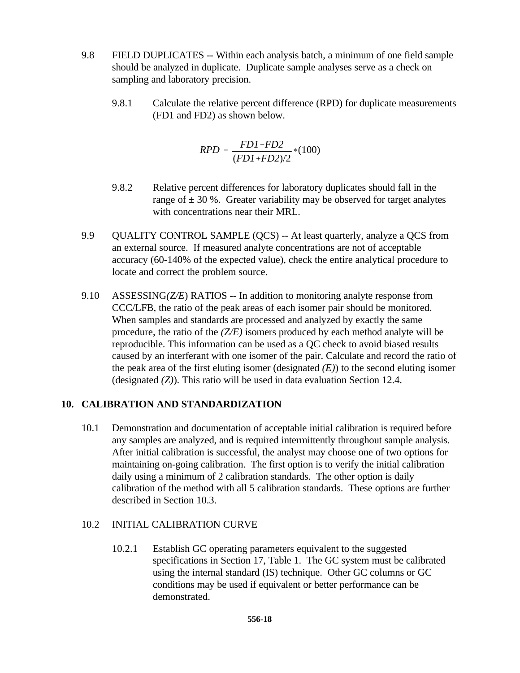- 9.8 FIELD DUPLICATES -- Within each analysis batch, a minimum of one field sample should be analyzed in duplicate. Duplicate sample analyses serve as a check on sampling and laboratory precision.
	- 9.8.1 Calculate the relative percent difference (RPD) for duplicate measurements (FD1 and FD2) as shown below.

$$
RPD = \frac{FD1 - FD2}{(FD1 + FD2)/2} * (100)
$$

- 9.8.2 Relative percent differences for laboratory duplicates should fall in the range of  $\pm$  30 %. Greater variability may be observed for target analytes with concentrations near their MRL.
- 9.9 **QUALITY CONTROL SAMPLE (QCS)** -- At least quarterly, analyze a QCS from an external source. If measured analyte concentrations are not of acceptable accuracy (60-140% of the expected value), check the entire analytical procedure to locate and correct the problem source.
- 9.10 ASSESSING*(Z/E*) RATIOS -- In addition to monitoring analyte response from CCC/LFB, the ratio of the peak areas of each isomer pair should be monitored. When samples and standards are processed and analyzed by exactly the same procedure, the ratio of the *(Z/E)* isomers produced by each method analyte will be reproducible. This information can be used as a QC check to avoid biased results caused by an interferant with one isomer of the pair. Calculate and record the ratio of the peak area of the first eluting isomer (designated *(E)*) to the second eluting isomer (designated *(Z)*). This ratio will be used in data evaluation Section 12.4.

#### **10. CALIBRATION AND STANDARDIZATION**

10.1 Demonstration and documentation of acceptable initial calibration is required before any samples are analyzed, and is required intermittently throughout sample analysis. After initial calibration is successful, the analyst may choose one of two options for maintaining on-going calibration. The first option is to verify the initial calibration daily using a minimum of 2 calibration standards. The other option is daily calibration of the method with all 5 calibration standards. These options are further described in Section 10.3.

#### 10.2 INITIAL CALIBRATION CURVE

10.2.1 Establish GC operating parameters equivalent to the suggested specifications in Section 17, Table 1. The GC system must be calibrated using the internal standard (IS) technique. Other GC columns or GC conditions may be used if equivalent or better performance can be demonstrated.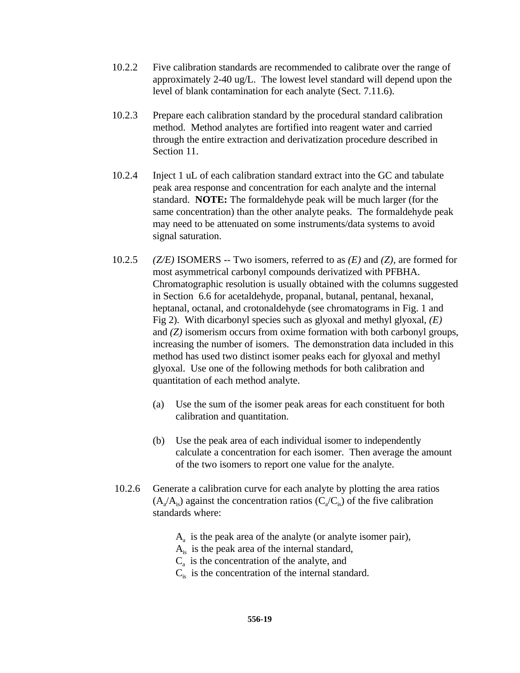- 10.2.2 Five calibration standards are recommended to calibrate over the range of approximately 2-40 ug/L. The lowest level standard will depend upon the level of blank contamination for each analyte (Sect. 7.11.6).
- 10.2.3 Prepare each calibration standard by the procedural standard calibration method. Method analytes are fortified into reagent water and carried through the entire extraction and derivatization procedure described in Section 11.
- 10.2.4 Inject 1 uL of each calibration standard extract into the GC and tabulate peak area response and concentration for each analyte and the internal standard. **NOTE:** The formaldehyde peak will be much larger (for the same concentration) than the other analyte peaks. The formaldehyde peak may need to be attenuated on some instruments/data systems to avoid signal saturation.
- 10.2.5 *(Z/E)* ISOMERS -- Two isomers, referred to as *(E)* and *(Z)*, are formed for most asymmetrical carbonyl compounds derivatized with PFBHA. Chromatographic resolution is usually obtained with the columns suggested in Section 6.6 for acetaldehyde, propanal, butanal, pentanal, hexanal, heptanal, octanal, and crotonaldehyde (see chromatograms in Fig. 1 and Fig 2). With dicarbonyl species such as glyoxal and methyl glyoxal, *(E)* and *(Z)* isomerism occurs from oxime formation with both carbonyl groups, increasing the number of isomers. The demonstration data included in this method has used two distinct isomer peaks each for glyoxal and methyl glyoxal. Use one of the following methods for both calibration and quantitation of each method analyte.
	- (a) Use the sum of the isomer peak areas for each constituent for both calibration and quantitation.
	- (b) Use the peak area of each individual isomer to independently calculate a concentration for each isomer. Then average the amount of the two isomers to report one value for the analyte.
- 10.2.6 Generate a calibration curve for each analyte by plotting the area ratios  $(A_{a}/A_{is})$  against the concentration ratios  $(C_{a}/C_{is})$  of the five calibration standards where:
	- $A<sub>a</sub>$  is the peak area of the analyte (or analyte isomer pair),
	- $A_{is}$  is the peak area of the internal standard,
	- $C_a$  is the concentration of the analyte, and
	- $C_{is}$  is the concentration of the internal standard.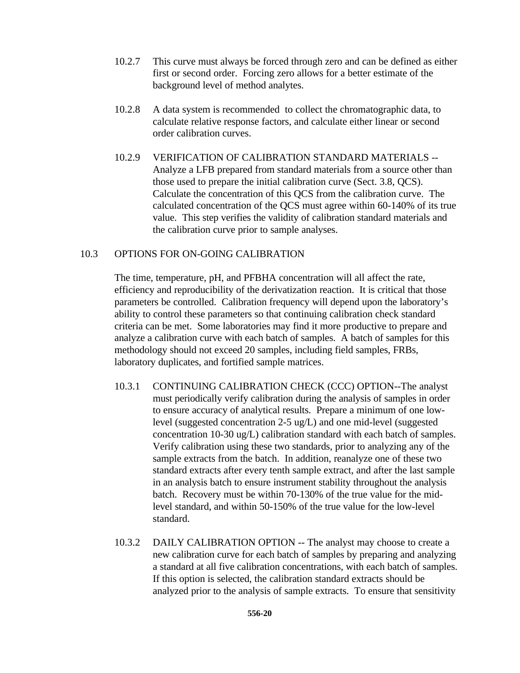- 10.2.7 This curve must always be forced through zero and can be defined as either first or second order. Forcing zero allows for a better estimate of the background level of method analytes.
- 10.2.8 A data system is recommended to collect the chromatographic data, to calculate relative response factors, and calculate either linear or second order calibration curves.
- 10.2.9 VERIFICATION OF CALIBRATION STANDARD MATERIALS -- Analyze a LFB prepared from standard materials from a source other than those used to prepare the initial calibration curve (Sect. 3.8, QCS). Calculate the concentration of this QCS from the calibration curve. The calculated concentration of the QCS must agree within 60-140% of its true value. This step verifies the validity of calibration standard materials and the calibration curve prior to sample analyses.

#### 10.3 OPTIONS FOR ON-GOING CALIBRATION

The time, temperature, pH, and PFBHA concentration will all affect the rate, efficiency and reproducibility of the derivatization reaction. It is critical that those parameters be controlled. Calibration frequency will depend upon the laboratory's ability to control these parameters so that continuing calibration check standard criteria can be met. Some laboratories may find it more productive to prepare and analyze a calibration curve with each batch of samples. A batch of samples for this methodology should not exceed 20 samples, including field samples, FRBs, laboratory duplicates, and fortified sample matrices.

- 10.3.1 CONTINUING CALIBRATION CHECK (CCC) OPTION--The analyst must periodically verify calibration during the analysis of samples in order to ensure accuracy of analytical results. Prepare a minimum of one lowlevel (suggested concentration 2-5 ug/L) and one mid-level (suggested concentration 10-30 ug/L) calibration standard with each batch of samples. Verify calibration using these two standards, prior to analyzing any of the sample extracts from the batch. In addition, reanalyze one of these two standard extracts after every tenth sample extract, and after the last sample in an analysis batch to ensure instrument stability throughout the analysis batch. Recovery must be within 70-130% of the true value for the midlevel standard, and within 50-150% of the true value for the low-level standard.
- 10.3.2 DAILY CALIBRATION OPTION -- The analyst may choose to create a new calibration curve for each batch of samples by preparing and analyzing a standard at all five calibration concentrations, with each batch of samples. If this option is selected, the calibration standard extracts should be analyzed prior to the analysis of sample extracts. To ensure that sensitivity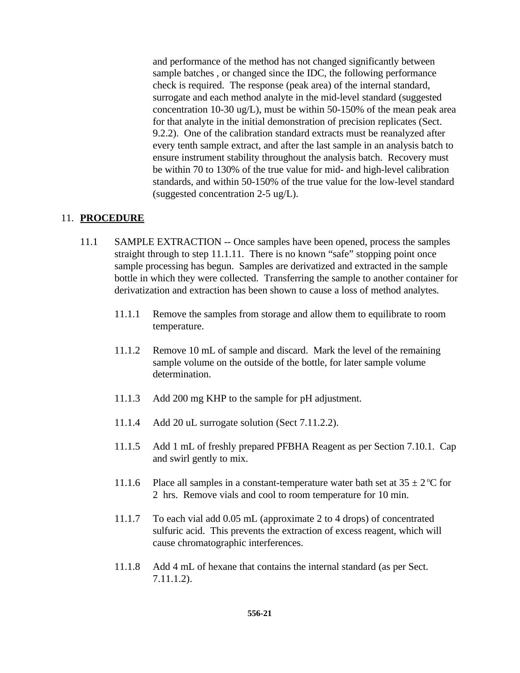and performance of the method has not changed significantly between sample batches , or changed since the IDC, the following performance check is required. The response (peak area) of the internal standard, surrogate and each method analyte in the mid-level standard (suggested concentration 10-30 ug/L), must be within 50-150% of the mean peak area for that analyte in the initial demonstration of precision replicates (Sect. 9.2.2). One of the calibration standard extracts must be reanalyzed after every tenth sample extract, and after the last sample in an analysis batch to ensure instrument stability throughout the analysis batch. Recovery must be within 70 to 130% of the true value for mid- and high-level calibration standards, and within 50-150% of the true value for the low-level standard (suggested concentration 2-5 ug/L).

#### 11. **PROCEDURE**

- 11.1 SAMPLE EXTRACTION -- Once samples have been opened, process the samples straight through to step 11.1.11. There is no known "safe" stopping point once sample processing has begun. Samples are derivatized and extracted in the sample bottle in which they were collected. Transferring the sample to another container for derivatization and extraction has been shown to cause a loss of method analytes.
	- 11.1.1 Remove the samples from storage and allow them to equilibrate to room temperature.
	- 11.1.2 Remove 10 mL of sample and discard. Mark the level of the remaining sample volume on the outside of the bottle, for later sample volume determination.
	- 11.1.3 Add 200 mg KHP to the sample for pH adjustment.
	- 11.1.4 Add 20 uL surrogate solution (Sect 7.11.2.2).
	- 11.1.5 Add 1 mL of freshly prepared PFBHA Reagent as per Section 7.10.1. Cap and swirl gently to mix.
	- 11.1.6 Place all samples in a constant-temperature water bath set at  $35 \pm 2^{\circ}$ C for 2 hrs. Remove vials and cool to room temperature for 10 min.
	- 11.1.7 To each vial add 0.05 mL (approximate 2 to 4 drops) of concentrated sulfuric acid. This prevents the extraction of excess reagent, which will cause chromatographic interferences.
	- 11.1.8 Add 4 mL of hexane that contains the internal standard (as per Sect. 7.11.1.2).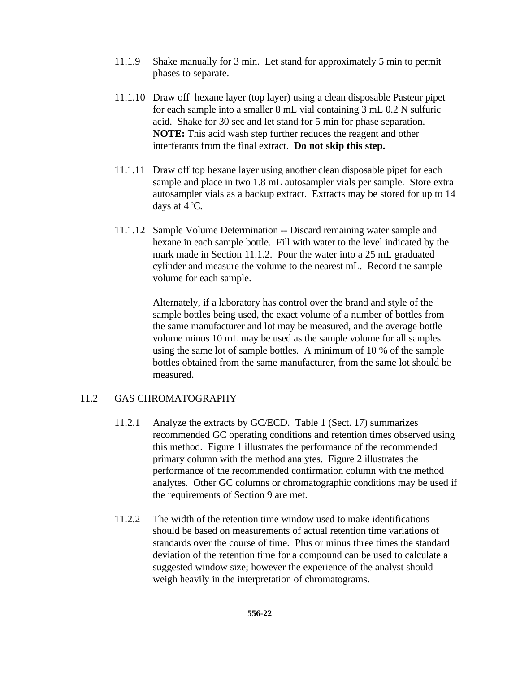- 11.1.9 Shake manually for 3 min. Let stand for approximately 5 min to permit phases to separate.
- 11.1.10 Draw off hexane layer (top layer) using a clean disposable Pasteur pipet for each sample into a smaller 8 mL vial containing 3 mL 0.2 N sulfuric acid. Shake for 30 sec and let stand for 5 min for phase separation. **NOTE:** This acid wash step further reduces the reagent and other interferants from the final extract. **Do not skip this step.**
- 11.1.11 Draw off top hexane layer using another clean disposable pipet for each sample and place in two 1.8 mL autosampler vials per sample. Store extra autosampler vials as a backup extract. Extracts may be stored for up to 14 days at  $4^{\circ}$ C.
- 11.1.12 Sample Volume Determination -- Discard remaining water sample and hexane in each sample bottle. Fill with water to the level indicated by the mark made in Section 11.1.2. Pour the water into a 25 mL graduated cylinder and measure the volume to the nearest mL. Record the sample volume for each sample.

Alternately, if a laboratory has control over the brand and style of the sample bottles being used, the exact volume of a number of bottles from the same manufacturer and lot may be measured, and the average bottle volume minus 10 mL may be used as the sample volume for all samples using the same lot of sample bottles. A minimum of 10 % of the sample bottles obtained from the same manufacturer, from the same lot should be measured.

#### 11.2 GAS CHROMATOGRAPHY

- 11.2.1 Analyze the extracts by GC/ECD. Table 1 (Sect. 17) summarizes recommended GC operating conditions and retention times observed using this method. Figure 1 illustrates the performance of the recommended primary column with the method analytes. Figure 2 illustrates the performance of the recommended confirmation column with the method analytes. Other GC columns or chromatographic conditions may be used if the requirements of Section 9 are met.
- 11.2.2 The width of the retention time window used to make identifications should be based on measurements of actual retention time variations of standards over the course of time. Plus or minus three times the standard deviation of the retention time for a compound can be used to calculate a suggested window size; however the experience of the analyst should weigh heavily in the interpretation of chromatograms.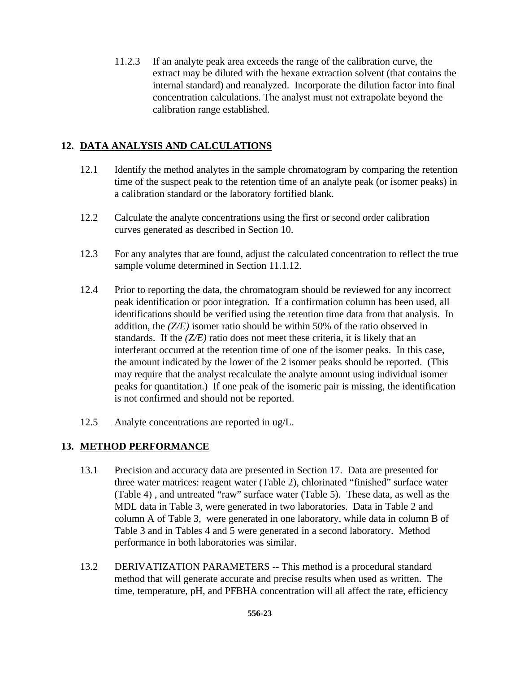11.2.3 If an analyte peak area exceeds the range of the calibration curve, the extract may be diluted with the hexane extraction solvent (that contains the internal standard) and reanalyzed. Incorporate the dilution factor into final concentration calculations. The analyst must not extrapolate beyond the calibration range established.

## **12. DATA ANALYSIS AND CALCULATIONS**

- 12.1 Identify the method analytes in the sample chromatogram by comparing the retention time of the suspect peak to the retention time of an analyte peak (or isomer peaks) in a calibration standard or the laboratory fortified blank.
- 12.2 Calculate the analyte concentrations using the first or second order calibration curves generated as described in Section 10.
- 12.3 For any analytes that are found, adjust the calculated concentration to reflect the true sample volume determined in Section 11.1.12.
- 12.4 Prior to reporting the data, the chromatogram should be reviewed for any incorrect peak identification or poor integration. If a confirmation column has been used, all identifications should be verified using the retention time data from that analysis. In addition, the *(Z/E)* isomer ratio should be within 50% of the ratio observed in standards. If the *(Z/E)* ratio does not meet these criteria, it is likely that an interferant occurred at the retention time of one of the isomer peaks. In this case, the amount indicated by the lower of the 2 isomer peaks should be reported. (This may require that the analyst recalculate the analyte amount using individual isomer peaks for quantitation.) If one peak of the isomeric pair is missing, the identification is not confirmed and should not be reported.
- 12.5 Analyte concentrations are reported in ug/L.

#### **13. METHOD PERFORMANCE**

- 13.1 Precision and accuracy data are presented in Section 17. Data are presented for three water matrices: reagent water (Table 2), chlorinated "finished" surface water (Table 4) , and untreated "raw" surface water (Table 5). These data, as well as the MDL data in Table 3, were generated in two laboratories. Data in Table 2 and column A of Table 3, were generated in one laboratory, while data in column B of Table 3 and in Tables 4 and 5 were generated in a second laboratory. Method performance in both laboratories was similar.
- 13.2 DERIVATIZATION PARAMETERS -- This method is a procedural standard method that will generate accurate and precise results when used as written. The time, temperature, pH, and PFBHA concentration will all affect the rate, efficiency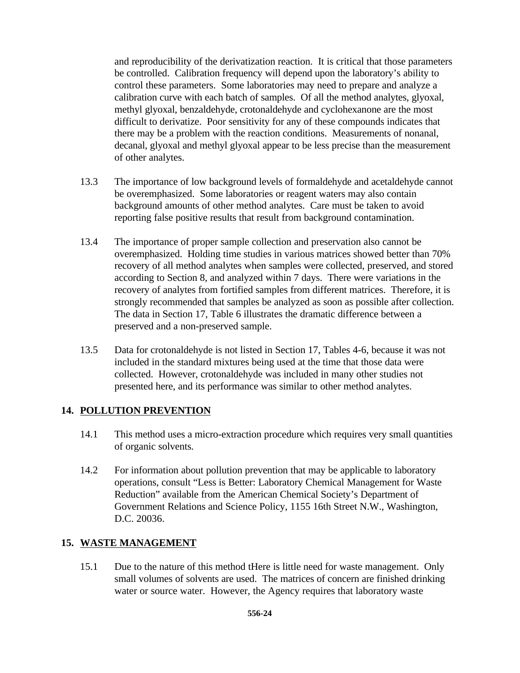and reproducibility of the derivatization reaction. It is critical that those parameters be controlled. Calibration frequency will depend upon the laboratory's ability to control these parameters. Some laboratories may need to prepare and analyze a calibration curve with each batch of samples. Of all the method analytes, glyoxal, methyl glyoxal, benzaldehyde, crotonaldehyde and cyclohexanone are the most difficult to derivatize. Poor sensitivity for any of these compounds indicates that there may be a problem with the reaction conditions. Measurements of nonanal, decanal, glyoxal and methyl glyoxal appear to be less precise than the measurement of other analytes.

- 13.3 The importance of low background levels of formaldehyde and acetaldehyde cannot be overemphasized. Some laboratories or reagent waters may also contain background amounts of other method analytes. Care must be taken to avoid reporting false positive results that result from background contamination.
- 13.4 The importance of proper sample collection and preservation also cannot be overemphasized. Holding time studies in various matrices showed better than 70% recovery of all method analytes when samples were collected, preserved, and stored according to Section 8, and analyzed within 7 days. There were variations in the recovery of analytes from fortified samples from different matrices. Therefore, it is strongly recommended that samples be analyzed as soon as possible after collection. The data in Section 17, Table 6 illustrates the dramatic difference between a preserved and a non-preserved sample.
- 13.5 Data for crotonaldehyde is not listed in Section 17, Tables 4-6, because it was not included in the standard mixtures being used at the time that those data were collected. However, crotonaldehyde was included in many other studies not presented here, and its performance was similar to other method analytes.

#### **14. POLLUTION PREVENTION**

- 14.1 This method uses a micro-extraction procedure which requires very small quantities of organic solvents.
- 14.2 For information about pollution prevention that may be applicable to laboratory operations, consult "Less is Better: Laboratory Chemical Management for Waste Reduction" available from the American Chemical Society's Department of Government Relations and Science Policy, 1155 16th Street N.W., Washington, D.C. 20036.

#### **15. WASTE MANAGEMENT**

15.1 Due to the nature of this method tHere is little need for waste management. Only small volumes of solvents are used. The matrices of concern are finished drinking water or source water. However, the Agency requires that laboratory waste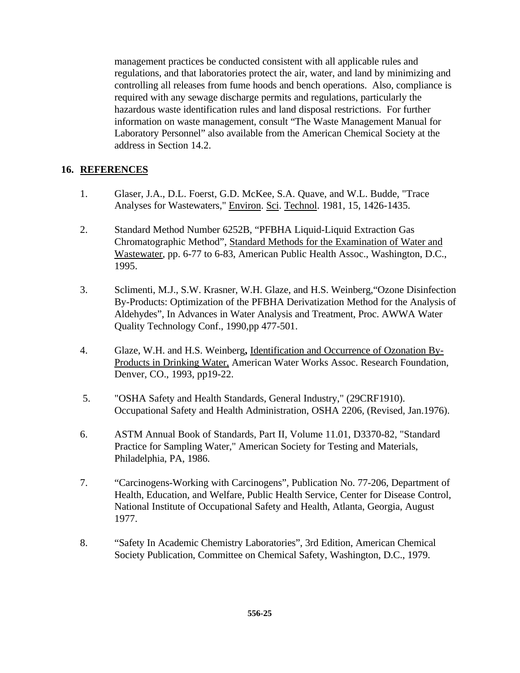management practices be conducted consistent with all applicable rules and regulations, and that laboratories protect the air, water, and land by minimizing and controlling all releases from fume hoods and bench operations. Also, compliance is required with any sewage discharge permits and regulations, particularly the hazardous waste identification rules and land disposal restrictions. For further information on waste management, consult "The Waste Management Manual for Laboratory Personnel" also available from the American Chemical Society at the address in Section 14.2.

#### **16. REFERENCES**

- 1. Glaser, J.A., D.L. Foerst, G.D. McKee, S.A. Quave, and W.L. Budde, "Trace Analyses for Wastewaters," Environ. Sci. Technol. 1981, 15, 1426-1435.
- 2. Standard Method Number 6252B, "PFBHA Liquid-Liquid Extraction Gas Chromatographic Method", Standard Methods for the Examination of Water and Wastewater, pp. 6-77 to 6-83, American Public Health Assoc., Washington, D.C., 1995.
- 3. Sclimenti, M.J., S.W. Krasner, W.H. Glaze, and H.S. Weinberg,"Ozone Disinfection By-Products: Optimization of the PFBHA Derivatization Method for the Analysis of Aldehydes", In Advances in Water Analysis and Treatment, Proc. AWWA Water Quality Technology Conf., 1990,pp 477-501.
- 4. Glaze, W.H. and H.S. Weinberg**,** Identification and Occurrence of Ozonation By-Products in Drinking Water, American Water Works Assoc. Research Foundation, Denver, CO., 1993, pp19-22.
- 5. "OSHA Safety and Health Standards, General Industry," (29CRF1910). Occupational Safety and Health Administration, OSHA 2206, (Revised, Jan.1976).
- 6. ASTM Annual Book of Standards, Part II, Volume 11.01, D3370-82, "Standard Practice for Sampling Water," American Society for Testing and Materials, Philadelphia, PA, 1986.
- 7. "Carcinogens-Working with Carcinogens", Publication No. 77-206, Department of Health, Education, and Welfare, Public Health Service, Center for Disease Control, National Institute of Occupational Safety and Health, Atlanta, Georgia, August 1977.
- 8. "Safety In Academic Chemistry Laboratories", 3rd Edition, American Chemical Society Publication, Committee on Chemical Safety, Washington, D.C., 1979.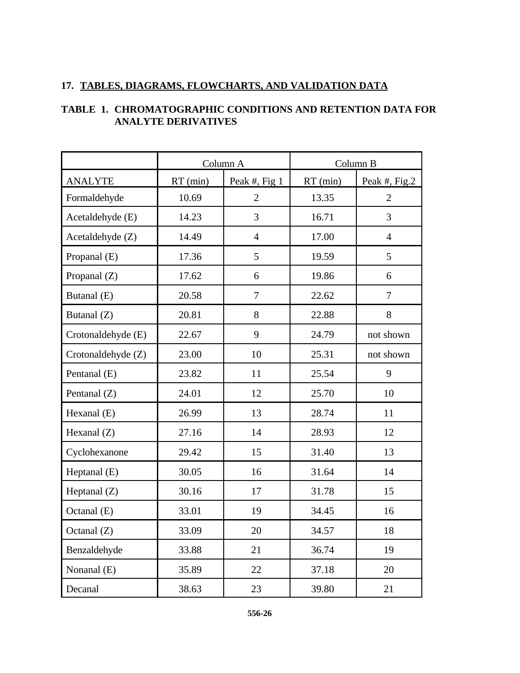## **17. TABLES, DIAGRAMS, FLOWCHARTS, AND VALIDATION DATA**

|                    |            | Column A       | Column B   |                |
|--------------------|------------|----------------|------------|----------------|
| <b>ANALYTE</b>     | $RT$ (min) | Peak #, Fig 1  | $RT$ (min) | Peak #, Fig.2  |
| Formaldehyde       | 10.69      | $\overline{2}$ | 13.35      | $\overline{2}$ |
| Acetaldehyde (E)   | 14.23      | 3              | 16.71      | 3              |
| Acetaldehyde (Z)   | 14.49      | $\overline{4}$ | 17.00      | $\overline{4}$ |
| Propanal (E)       | 17.36      | 5              | 19.59      | 5              |
| Propanal $(Z)$     | 17.62      | 6              | 19.86      | 6              |
| Butanal (E)        | 20.58      | $\overline{7}$ | 22.62      | $\overline{7}$ |
| Butanal (Z)        | 20.81      | 8              | 22.88      | 8              |
| Crotonaldehyde (E) | 22.67      | 9              | 24.79      | not shown      |
| Crotonaldehyde (Z) | 23.00      | 10             | 25.31      | not shown      |
| Pentanal (E)       | 23.82      | 11             | 25.54      | 9              |
| Pentanal (Z)       | 24.01      | 12             | 25.70      | 10             |
| Hexanal $(E)$      | 26.99      | 13             | 28.74      | 11             |
| Hexanal (Z)        | 27.16      | 14             | 28.93      | 12             |
| Cyclohexanone      | 29.42      | 15             | 31.40      | 13             |
| Heptanal (E)       | 30.05      | 16             | 31.64      | 14             |
| Heptanal $(Z)$     | 30.16      | 17             | 31.78      | 15             |
| Octanal (E)        | 33.01      | 19             | 34.45      | 16             |
| Octanal (Z)        | 33.09      | 20             | 34.57      | 18             |
| Benzaldehyde       | 33.88      | 21             | 36.74      | 19             |
| Nonanal (E)        | 35.89      | 22             | 37.18      | 20             |
| Decanal            | 38.63      | 23             | 39.80      | 21             |

# **TABLE 1. CHROMATOGRAPHIC CONDITIONS AND RETENTION DATA FOR ANALYTE DERIVATIVES**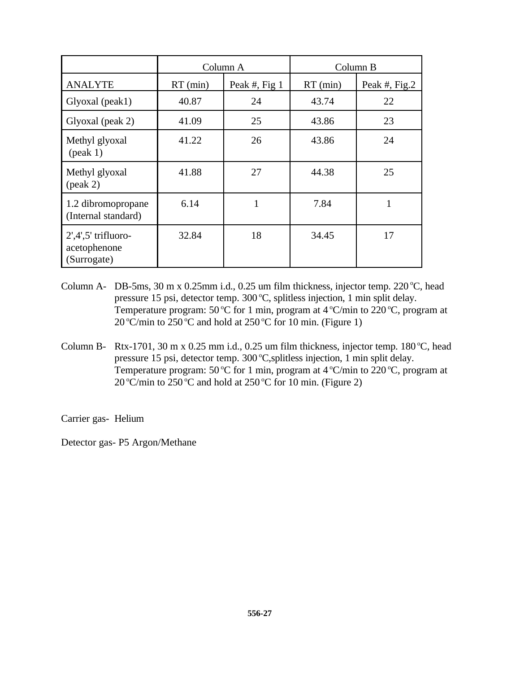|                                                      |            | Column A      | Column B   |               |
|------------------------------------------------------|------------|---------------|------------|---------------|
| <b>ANALYTE</b>                                       | $RT$ (min) | Peak #, Fig 1 | $RT$ (min) | Peak #, Fig.2 |
| Glyoxal (peak1)                                      | 40.87      | 24            | 43.74      | 22            |
| Glyoxal (peak 2)                                     | 41.09      | 25            | 43.86      | 23            |
| Methyl glyoxal<br>$(\text{peak} 1)$                  | 41.22      | 26            | 43.86      | 24            |
| Methyl glyoxal<br>$(\text{peak } 2)$                 | 41.88      | 27            | 44.38      | 25            |
| 1.2 dibromopropane<br>(Internal standard)            | 6.14       | $\mathbf{1}$  | 7.84       | $\mathbf{1}$  |
| $2',4',5'$ trifluoro-<br>acetophenone<br>(Surrogate) | 32.84      | 18            | 34.45      | 17            |

- Column A- DB-5ms, 30 m x 0.25mm i.d., 0.25 um film thickness, injector temp. 220 °C, head pressure 15 psi, detector temp. 300 °C, splitless injection, 1 min split delay. Temperature program:  $50^{\circ}$ C for 1 min, program at  $4^{\circ}$ C/min to 220 $^{\circ}$ C, program at 20 °C/min to 250 °C and hold at 250 °C for 10 min. (Figure 1)
- Column B- Rtx-1701, 30 m x 0.25 mm i.d., 0.25 um film thickness, injector temp.  $180^{\circ}$ C, head pressure 15 psi, detector temp.  $300^{\circ}$ C, splitless injection, 1 min split delay. Temperature program:  $50^{\circ}$ C for 1 min, program at  $4^{\circ}$ C/min to 220 $^{\circ}$ C, program at 20 °C/min to 250 °C and hold at 250 °C for 10 min. (Figure 2)

Carrier gas- Helium

Detector gas- P5 Argon/Methane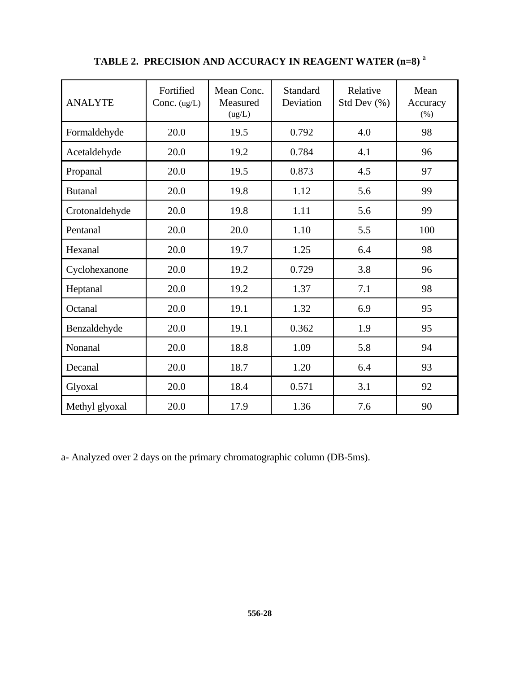| <b>ANALYTE</b> | Fortified<br>Conc. $(ug/L)$ | Mean Conc.<br>Measured<br>(ug/L) | Standard<br>Deviation | Relative<br>Std Dev $(\% )$ | Mean<br>Accuracy<br>(% ) |
|----------------|-----------------------------|----------------------------------|-----------------------|-----------------------------|--------------------------|
| Formaldehyde   | 20.0                        | 19.5                             | 0.792                 | 4.0                         | 98                       |
| Acetaldehyde   | 20.0                        | 19.2                             | 0.784                 | 4.1                         | 96                       |
| Propanal       | 20.0                        | 19.5                             | 0.873                 | 4.5                         | 97                       |
| <b>Butanal</b> | 20.0                        | 19.8                             | 1.12                  | 5.6                         | 99                       |
| Crotonaldehyde | 20.0                        | 19.8                             | 1.11                  | 5.6                         | 99                       |
| Pentanal       | 20.0                        | 20.0                             | 1.10                  | 5.5                         | 100                      |
| Hexanal        | 20.0                        | 19.7                             | 1.25                  | 6.4                         | 98                       |
| Cyclohexanone  | 20.0                        | 19.2                             | 0.729                 | 3.8                         | 96                       |
| Heptanal       | 20.0                        | 19.2                             | 1.37                  | 7.1                         | 98                       |
| Octanal        | 20.0                        | 19.1                             | 1.32                  | 6.9                         | 95                       |
| Benzaldehyde   | 20.0                        | 19.1                             | 0.362                 | 1.9                         | 95                       |
| Nonanal        | 20.0                        | 18.8                             | 1.09                  | 5.8                         | 94                       |
| Decanal        | 20.0                        | 18.7                             | 1.20                  | 6.4                         | 93                       |
| Glyoxal        | 20.0                        | 18.4                             | 0.571                 | 3.1                         | 92                       |
| Methyl glyoxal | 20.0                        | 17.9                             | 1.36                  | 7.6                         | 90                       |

# **TABLE 2. PRECISION AND ACCURACY IN REAGENT WATER (n=8)** <sup>a</sup>

a- Analyzed over 2 days on the primary chromatographic column (DB-5ms).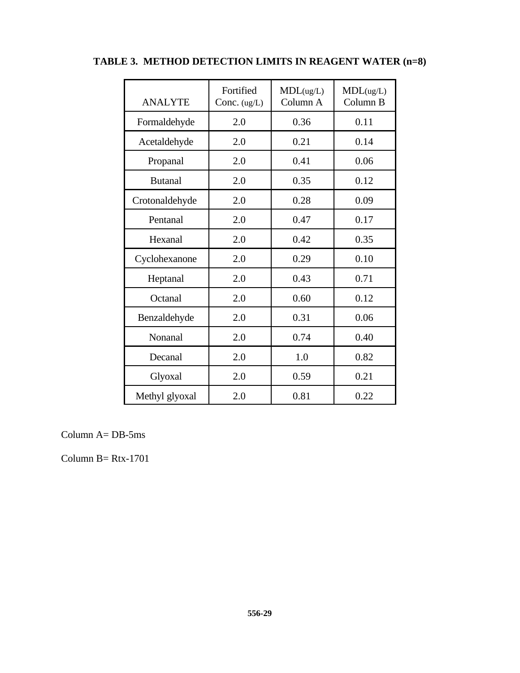| <b>ANALYTE</b> | Fortified<br>Conc. $(ug/L)$ | MDL(ug/L)<br>Column A | MDL(ug/L)<br>Column B |
|----------------|-----------------------------|-----------------------|-----------------------|
| Formaldehyde   | 2.0                         | 0.36                  | 0.11                  |
| Acetaldehyde   | 2.0                         | 0.21                  | 0.14                  |
| Propanal       | 2.0                         | 0.41                  | 0.06                  |
| <b>Butanal</b> | 2.0                         | 0.35                  | 0.12                  |
| Crotonaldehyde | 2.0                         | 0.28                  | 0.09                  |
| Pentanal       | 2.0                         | 0.47                  | 0.17                  |
| Hexanal        | 2.0                         | 0.42                  | 0.35                  |
| Cyclohexanone  | 2.0                         | 0.29                  | 0.10                  |
| Heptanal       | 2.0                         | 0.43                  | 0.71                  |
| Octanal        | 2.0                         | 0.60                  | 0.12                  |
| Benzaldehyde   | 2.0                         | 0.31                  | 0.06                  |
| Nonanal        | 2.0                         | 0.74                  | 0.40                  |
| Decanal        | 2.0                         | 1.0                   | 0.82                  |
| Glyoxal        | 2.0                         | 0.59                  | 0.21                  |
| Methyl glyoxal | 2.0                         | 0.81                  | 0.22                  |

# **TABLE 3. METHOD DETECTION LIMITS IN REAGENT WATER (n=8)**

Column  $A = DB-5ms$ 

Column  $B = Rtx-1701$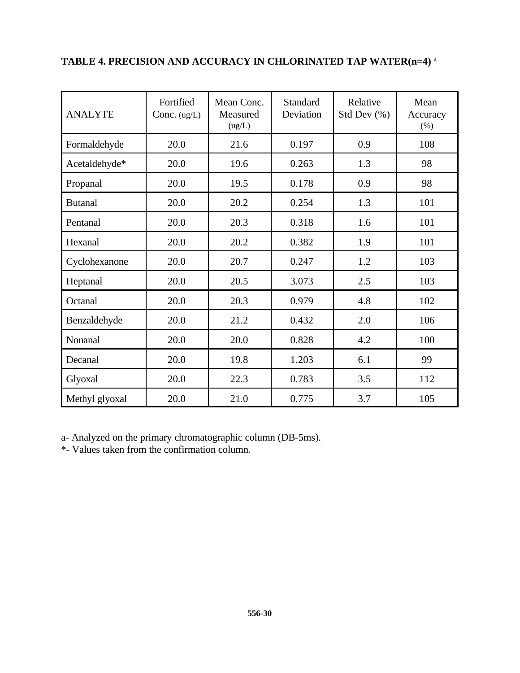| <b>ANALYTE</b> | Fortified<br>Conc. $(ug/L)$ | Mean Conc.<br>Measured<br>(ug/L) | <b>Standard</b><br>Deviation | Relative<br>Std Dev $(\% )$ | Mean<br>Accuracy<br>(% ) |
|----------------|-----------------------------|----------------------------------|------------------------------|-----------------------------|--------------------------|
| Formaldehyde   | 20.0                        | 21.6                             | 0.197                        | 0.9                         | 108                      |
| Acetaldehyde*  | 20.0                        | 19.6                             | 0.263                        | 1.3                         | 98                       |
| Propanal       | 20.0                        | 19.5                             | 0.178                        | 0.9                         | 98                       |
| <b>Butanal</b> | 20.0                        | 20.2                             | 0.254                        | 1.3                         | 101                      |
| Pentanal       | 20.0                        | 20.3                             | 0.318                        | 1.6                         | 101                      |
| Hexanal        | 20.0                        | 20.2                             | 0.382                        | 1.9                         | 101                      |
| Cyclohexanone  | 20.0                        | 20.7                             | 0.247                        | 1.2                         | 103                      |
| Heptanal       | 20.0                        | 20.5                             | 3.073                        | 2.5                         | 103                      |
| Octanal        | 20.0                        | 20.3                             | 0.979                        | 4.8                         | 102                      |
| Benzaldehyde   | 20.0                        | 21.2                             | 0.432                        | 2.0                         | 106                      |
| Nonanal        | 20.0                        | 20.0                             | 0.828                        | 4.2                         | 100                      |
| Decanal        | 20.0                        | 19.8                             | 1.203                        | 6.1                         | 99                       |
| Glyoxal        | 20.0                        | 22.3                             | 0.783                        | 3.5                         | 112                      |
| Methyl glyoxal | 20.0                        | 21.0                             | 0.775                        | 3.7                         | 105                      |

# **TABLE 4. PRECISION AND ACCURACY IN CHLORINATED TAP WATER(n=4)** <sup>a</sup>

a- Analyzed on the primary chromatographic column (DB-5ms).

\*- Values taken from the confirmation column.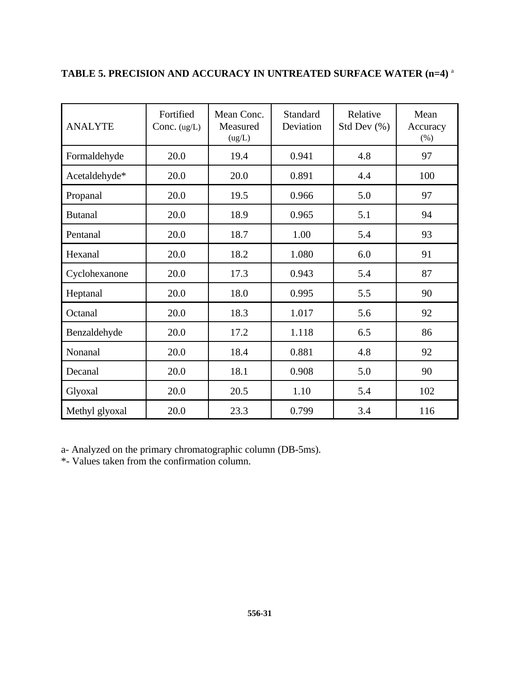| <b>ANALYTE</b> | Fortified<br>Conc. $(ug/L)$ | Mean Conc.<br>Measured<br>(ug/L) | <b>Standard</b><br>Deviation | Relative<br>Std Dev (%) | Mean<br>Accuracy<br>$(\% )$ |
|----------------|-----------------------------|----------------------------------|------------------------------|-------------------------|-----------------------------|
| Formaldehyde   | 20.0                        | 19.4                             | 0.941                        | 4.8                     | 97                          |
| Acetaldehyde*  | 20.0                        | 20.0                             | 0.891                        | 4.4                     | 100                         |
| Propanal       | 20.0                        | 19.5                             | 0.966                        | 5.0                     | 97                          |
| <b>Butanal</b> | 20.0                        | 18.9                             | 0.965                        | 5.1                     | 94                          |
| Pentanal       | 20.0                        | 18.7                             | 1.00                         | 5.4                     | 93                          |
| Hexanal        | 20.0                        | 18.2                             | 1.080                        | 6.0                     | 91                          |
| Cyclohexanone  | 20.0                        | 17.3                             | 0.943                        | 5.4                     | 87                          |
| Heptanal       | 20.0                        | 18.0                             | 0.995                        | 5.5                     | 90                          |
| Octanal        | 20.0                        | 18.3                             | 1.017                        | 5.6                     | 92                          |
| Benzaldehyde   | 20.0                        | 17.2                             | 1.118                        | 6.5                     | 86                          |
| Nonanal        | 20.0                        | 18.4                             | 0.881                        | 4.8                     | 92                          |
| Decanal        | 20.0                        | 18.1                             | 0.908                        | 5.0                     | 90                          |
| Glyoxal        | 20.0                        | 20.5                             | 1.10                         | 5.4                     | 102                         |
| Methyl glyoxal | 20.0                        | 23.3                             | 0.799                        | 3.4                     | 116                         |

# **TABLE 5. PRECISION AND ACCURACY IN UNTREATED SURFACE WATER (n=4)** <sup>a</sup>

a- Analyzed on the primary chromatographic column (DB-5ms).

\*- Values taken from the confirmation column.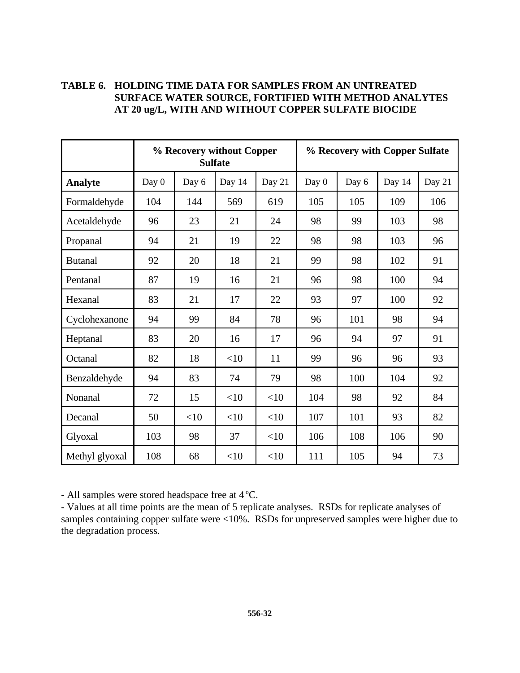|                | % Recovery without Copper<br><b>Sulfate</b> |       |        |        |         | % Recovery with Copper Sulfate |        |        |
|----------------|---------------------------------------------|-------|--------|--------|---------|--------------------------------|--------|--------|
| <b>Analyte</b> | Day 0                                       | Day 6 | Day 14 | Day 21 | Day $0$ | Day 6                          | Day 14 | Day 21 |
| Formaldehyde   | 104                                         | 144   | 569    | 619    | 105     | 105                            | 109    | 106    |
| Acetaldehyde   | 96                                          | 23    | 21     | 24     | 98      | 99                             | 103    | 98     |
| Propanal       | 94                                          | 21    | 19     | 22     | 98      | 98                             | 103    | 96     |
| <b>Butanal</b> | 92                                          | 20    | 18     | 21     | 99      | 98                             | 102    | 91     |
| Pentanal       | 87                                          | 19    | 16     | 21     | 96      | 98                             | 100    | 94     |
| Hexanal        | 83                                          | 21    | 17     | 22     | 93      | 97                             | 100    | 92     |
| Cyclohexanone  | 94                                          | 99    | 84     | 78     | 96      | 101                            | 98     | 94     |
| Heptanal       | 83                                          | 20    | 16     | 17     | 96      | 94                             | 97     | 91     |
| Octanal        | 82                                          | 18    | <10    | 11     | 99      | 96                             | 96     | 93     |
| Benzaldehyde   | 94                                          | 83    | 74     | 79     | 98      | 100                            | 104    | 92     |
| Nonanal        | 72                                          | 15    | <10    | <10    | 104     | 98                             | 92     | 84     |
| Decanal        | 50                                          | <10   | <10    | <10    | 107     | 101                            | 93     | 82     |
| Glyoxal        | 103                                         | 98    | 37     | <10    | 106     | 108                            | 106    | 90     |
| Methyl glyoxal | 108                                         | 68    | <10    | <10    | 111     | 105                            | 94     | 73     |

#### **TABLE 6. HOLDING TIME DATA FOR SAMPLES FROM AN UNTREATED SURFACE WATER SOURCE, FORTIFIED WITH METHOD ANALYTES AT 20 ug/L, WITH AND WITHOUT COPPER SULFATE BIOCIDE**

- All samples were stored headspace free at 4 °C.

- Values at all time points are the mean of 5 replicate analyses. RSDs for replicate analyses of samples containing copper sulfate were <10%. RSDs for unpreserved samples were higher due to the degradation process.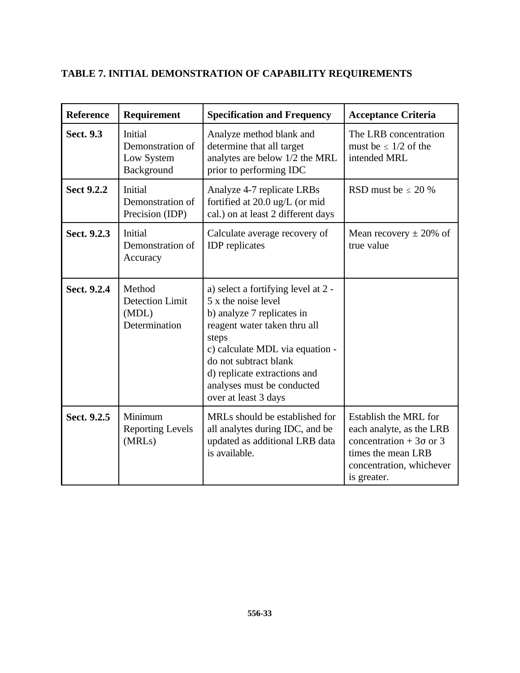|  |  | <b>TABLE 7. INITIAL DEMONSTRATION OF CAPABILITY REQUIREMENTS</b> |
|--|--|------------------------------------------------------------------|
|--|--|------------------------------------------------------------------|

| <b>Reference</b>  | Requirement                                                | <b>Specification and Frequency</b>                                                                                                                                                                                                                                                  | <b>Acceptance Criteria</b>                                                                                                                           |
|-------------------|------------------------------------------------------------|-------------------------------------------------------------------------------------------------------------------------------------------------------------------------------------------------------------------------------------------------------------------------------------|------------------------------------------------------------------------------------------------------------------------------------------------------|
| Sect. 9.3         | Initial<br>Demonstration of<br>Low System<br>Background    | Analyze method blank and<br>determine that all target<br>analytes are below 1/2 the MRL<br>prior to performing IDC                                                                                                                                                                  | The LRB concentration<br>must be $\leq 1/2$ of the<br>intended MRL                                                                                   |
| <b>Sect 9.2.2</b> | Initial<br>Demonstration of<br>Precision (IDP)             | Analyze 4-7 replicate LRBs<br>fortified at 20.0 ug/L (or mid<br>cal.) on at least 2 different days                                                                                                                                                                                  | RSD must be $\leq 20\%$                                                                                                                              |
| Sect. 9.2.3       | Initial<br>Demonstration of<br>Accuracy                    | Calculate average recovery of<br><b>IDP</b> replicates                                                                                                                                                                                                                              | Mean recovery $\pm$ 20% of<br>true value                                                                                                             |
| Sect. 9.2.4       | Method<br><b>Detection Limit</b><br>(MDL)<br>Determination | a) select a fortifying level at 2 -<br>5 x the noise level<br>b) analyze 7 replicates in<br>reagent water taken thru all<br>steps<br>c) calculate MDL via equation -<br>do not subtract blank<br>d) replicate extractions and<br>analyses must be conducted<br>over at least 3 days |                                                                                                                                                      |
| Sect. 9.2.5       | Minimum<br><b>Reporting Levels</b><br>(MRLs)               | MRLs should be established for<br>all analytes during IDC, and be<br>updated as additional LRB data<br>is available.                                                                                                                                                                | Establish the MRL for<br>each analyte, as the LRB<br>concentration + $3\sigma$ or 3<br>times the mean LRB<br>concentration, whichever<br>is greater. |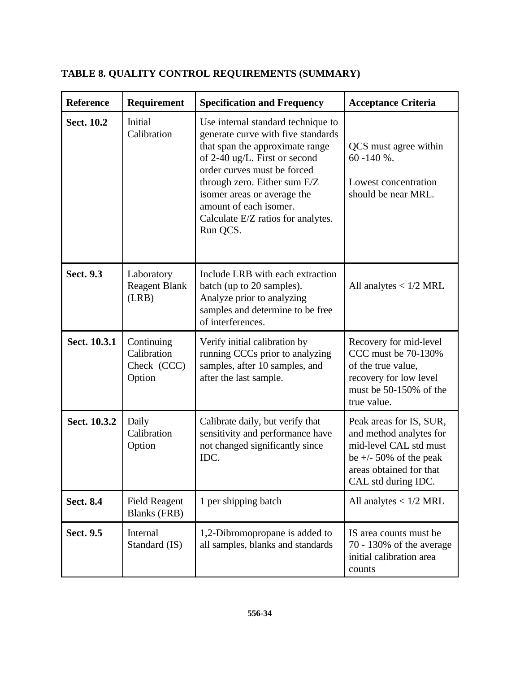| <b>Reference</b> | Requirement                                        | <b>Specification and Frequency</b>                                                                                                                                                                                                                                                                                     | <b>Acceptance Criteria</b>                                                                                                                                  |
|------------------|----------------------------------------------------|------------------------------------------------------------------------------------------------------------------------------------------------------------------------------------------------------------------------------------------------------------------------------------------------------------------------|-------------------------------------------------------------------------------------------------------------------------------------------------------------|
| Sect. 10.2       | Initial<br>Calibration                             | Use internal standard technique to<br>generate curve with five standards<br>that span the approximate range<br>of 2-40 ug/L. First or second<br>order curves must be forced<br>through zero. Either sum E/Z<br>isomer areas or average the<br>amount of each isomer.<br>Calculate E/Z ratios for analytes.<br>Run QCS. | QCS must agree within<br>$60 - 140 \%$ .<br>Lowest concentration<br>should be near MRL.                                                                     |
| <b>Sect. 9.3</b> | Laboratory<br><b>Reagent Blank</b><br>(LRB)        | Include LRB with each extraction<br>batch (up to 20 samples).<br>Analyze prior to analyzing<br>samples and determine to be free<br>of interferences.                                                                                                                                                                   | All analytes $< 1/2$ MRL                                                                                                                                    |
| Sect. 10.3.1     | Continuing<br>Calibration<br>Check (CCC)<br>Option | Verify initial calibration by<br>running CCCs prior to analyzing<br>samples, after 10 samples, and<br>after the last sample.                                                                                                                                                                                           | Recovery for mid-level<br>CCC must be 70-130%<br>of the true value,<br>recovery for low level<br>must be 50-150% of the<br>true value.                      |
| Sect. 10.3.2     | Daily<br>Calibration<br>Option                     | Calibrate daily, but verify that<br>sensitivity and performance have<br>not changed significantly since<br>IDC.                                                                                                                                                                                                        | Peak areas for IS, SUR,<br>and method analytes for<br>mid-level CAL std must<br>be $+/- 50\%$ of the peak<br>areas obtained for that<br>CAL std during IDC. |
| <b>Sect. 8.4</b> | <b>Field Reagent</b><br><b>Blanks (FRB)</b>        | 1 per shipping batch                                                                                                                                                                                                                                                                                                   | All analytes $< 1/2$ MRL                                                                                                                                    |
| <b>Sect. 9.5</b> | Internal<br>Standard (IS)                          | 1,2-Dibromopropane is added to<br>all samples, blanks and standards                                                                                                                                                                                                                                                    | IS area counts must be.<br>$70 - 130\%$ of the average<br>initial calibration area<br>counts                                                                |

# **TABLE 8. QUALITY CONTROL REQUIREMENTS (SUMMARY)**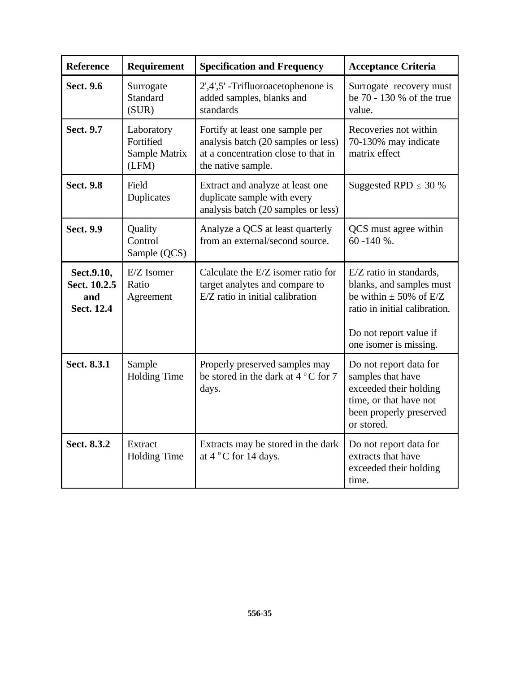| <b>Reference</b>                                       | Requirement                                       | <b>Specification and Frequency</b>                                                                                                  | <b>Acceptance Criteria</b>                                                                                                                                             |
|--------------------------------------------------------|---------------------------------------------------|-------------------------------------------------------------------------------------------------------------------------------------|------------------------------------------------------------------------------------------------------------------------------------------------------------------------|
| <b>Sect. 9.6</b>                                       | Surrogate<br>Standard<br>(SUR)                    | $2',4',5'$ -Trifluoroacetophenone is<br>added samples, blanks and<br>standards                                                      | Surrogate recovery must<br>be 70 - 130 % of the true<br>value.                                                                                                         |
| <b>Sect. 9.7</b>                                       | Laboratory<br>Fortified<br>Sample Matrix<br>(LFM) | Fortify at least one sample per<br>analysis batch (20 samples or less)<br>at a concentration close to that in<br>the native sample. | Recoveries not within<br>70-130% may indicate<br>matrix effect                                                                                                         |
| <b>Sect. 9.8</b>                                       | Field<br>Duplicates                               | Extract and analyze at least one<br>duplicate sample with every<br>analysis batch (20 samples or less)                              | Suggested RPD $\leq$ 30 %                                                                                                                                              |
| <b>Sect. 9.9</b>                                       | Quality<br>Control<br>Sample (QCS)                | Analyze a QCS at least quarterly<br>from an external/second source.                                                                 | QCS must agree within<br>$60 - 140 \%$ .                                                                                                                               |
| Sect.9.10,<br>Sect. 10.2.5<br>and<br><b>Sect. 12.4</b> | E/Z Isomer<br>Ratio<br>Agreement                  | Calculate the E/Z isomer ratio for<br>target analytes and compare to<br>E/Z ratio in initial calibration                            | E/Z ratio in standards,<br>blanks, and samples must<br>be within $\pm$ 50% of E/Z<br>ratio in initial calibration.<br>Do not report value if<br>one isomer is missing. |
| Sect. 8.3.1                                            | Sample<br><b>Holding Time</b>                     | Properly preserved samples may<br>be stored in the dark at $4^{\circ}$ C for 7<br>days.                                             | Do not report data for<br>samples that have<br>exceeded their holding<br>time, or that have not<br>been properly preserved<br>or stored.                               |
| Sect. 8.3.2                                            | Extract<br><b>Holding Time</b>                    | Extracts may be stored in the dark<br>at 4 °C for 14 days.                                                                          | Do not report data for<br>extracts that have<br>exceeded their holding<br>time.                                                                                        |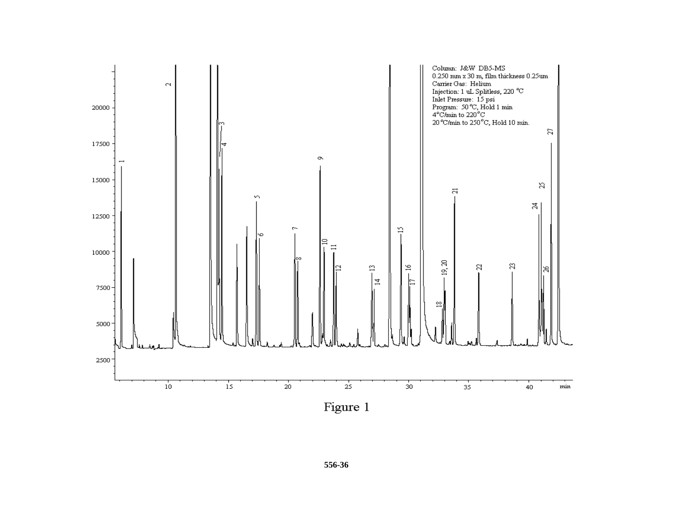

Figure 1